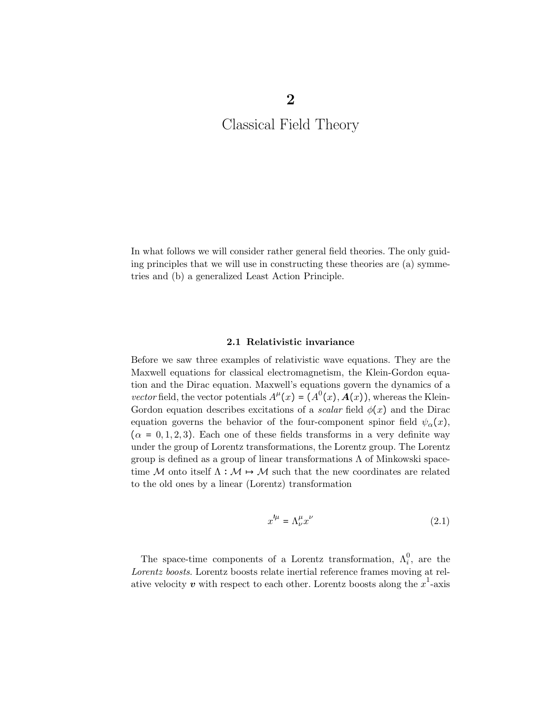In what follows we will consider rather general field theories. The only guiding principles that we will use in constructing these theories are (a) symmetries and (b) a generalized Least Action Principle.

## 2.1 Relativistic invariance

Before we saw three examples of relativistic wave equations. They are the Maxwell equations for classical electromagnetism, the Klein-Gordon equation and the Dirac equation. Maxwell's equations govern the dynamics of a vector field, the vector potentials  $A^{\mu}(x) = (A^{0}(x), A(x))$ , whereas the Klein-Gordon equation describes excitations of a *scalar* field  $\phi(x)$  and the Dirac equation governs the behavior of the four-component spinor field  $\psi_{\alpha}(x)$ ,  $(\alpha = 0, 1, 2, 3)$ . Each one of these fields transforms in a very definite way under the group of Lorentz transformations, the Lorentz group. The Lorentz group is defined as a group of linear transformations Λ of Minkowski spacetime M onto itself  $\Lambda : \mathcal{M} \mapsto \mathcal{M}$  such that the new coordinates are related to the old ones by a linear (Lorentz) transformation

$$
x^{\prime \mu} = \Lambda^{\mu}_{\nu} x^{\nu} \tag{2.1}
$$

The space-time components of a Lorentz transformation,  $\Lambda_i^0$ , are the Lorentz boosts. Lorentz boosts relate inertial reference frames moving at relative velocity  $\boldsymbol{v}$  with respect to each other. Lorentz boosts along the  $x^1$ -axis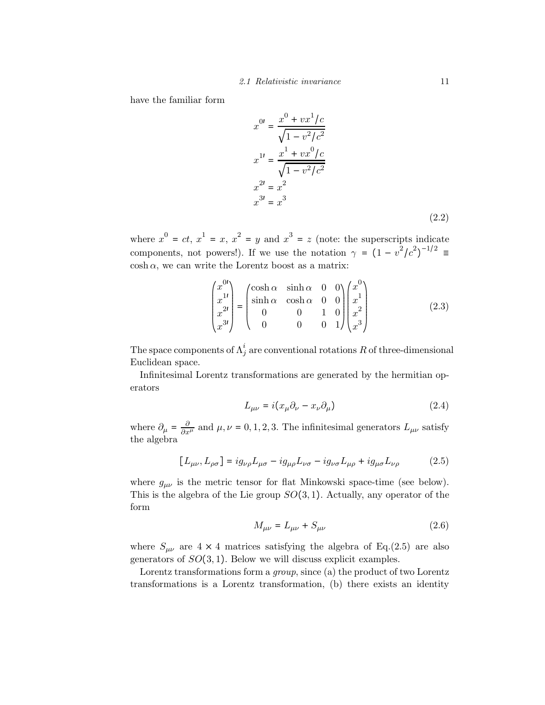have the familiar form

$$
x^{0i} = \frac{x^0 + vx^1/c}{\sqrt{1 - v^2/c^2}}
$$
  
\n
$$
x^{1i} = \frac{x^1 + vx^0/c}{\sqrt{1 - v^2/c^2}}
$$
  
\n
$$
x^{2i} = x^2
$$
  
\n
$$
x^{3i} = x^3
$$
\n(2.2)

where  $x^0 = ct$ ,  $x^1 = x$ ,  $x^2 = y$  and  $x^3 = z$  (note: the superscripts indicate components, not powers!). If we use the notation  $\gamma = (1 - v^2/c^2)^{-1/2} \equiv$  $\cosh \alpha$ , we can write the Lorentz boost as a matrix:

$$
\begin{pmatrix} x^{01} \\ x^{11} \\ x^{21} \\ x^{31} \end{pmatrix} = \begin{pmatrix} \cosh \alpha & \sinh \alpha & 0 & 0 \\ \sinh \alpha & \cosh \alpha & 0 & 0 \\ 0 & 0 & 1 & 0 \\ 0 & 0 & 0 & 1 \end{pmatrix} \begin{pmatrix} x^{0} \\ x^{1} \\ x^{2} \\ x^{3} \end{pmatrix}
$$
(2.3)

The space components of  $\Lambda^i_j$  are conventional rotations  $R$  of three-dimensional Euclidean space.

Infinitesimal Lorentz transformations are generated by the hermitian operators

$$
L_{\mu\nu} = i(x_{\mu}\partial_{\nu} - x_{\nu}\partial_{\mu})
$$
\n(2.4)

where  $\partial_{\mu} = \frac{\partial}{\partial x^{\mu}}$  and  $\mu, \nu = 0, 1, 2, 3$ . The infinitesimal generators  $L_{\mu\nu}$  satisfy the algebra

$$
[L_{\mu\nu}, L_{\rho\sigma}] = ig_{\nu\rho} L_{\mu\sigma} - ig_{\mu\rho} L_{\nu\sigma} - ig_{\nu\sigma} L_{\mu\rho} + ig_{\mu\sigma} L_{\nu\rho}
$$
 (2.5)

where  $g_{\mu\nu}$  is the metric tensor for flat Minkowski space-time (see below). This is the algebra of the Lie group  $SO(3,1)$ . Actually, any operator of the form

$$
M_{\mu\nu} = L_{\mu\nu} + S_{\mu\nu} \tag{2.6}
$$

where  $S_{\mu\nu}$  are  $4 \times 4$  matrices satisfying the algebra of Eq.(2.5) are also generators of  $SO(3,1)$ . Below we will discuss explicit examples.

Lorentz transformations form a *group*, since (a) the product of two Lorentz transformations is a Lorentz transformation, (b) there exists an identity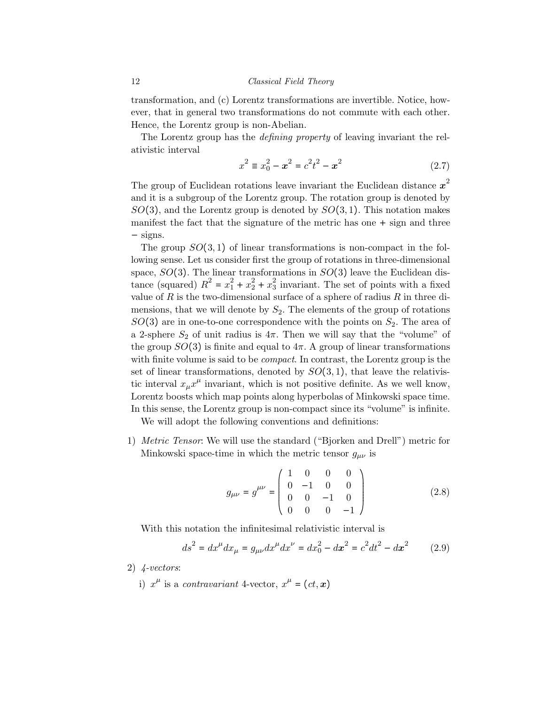transformation, and (c) Lorentz transformations are invertible. Notice, however, that in general two transformations do not commute with each other. Hence, the Lorentz group is non-Abelian.

The Lorentz group has the defining property of leaving invariant the relativistic interval

$$
x^{2} \equiv x_{0}^{2} - \mathbf{x}^{2} = c^{2} t^{2} - \mathbf{x}^{2}
$$
 (2.7)

The group of Euclidean rotations leave invariant the Euclidean distance  $x^2$ and it is a subgroup of the Lorentz group. The rotation group is denoted by  $SO(3)$ , and the Lorentz group is denoted by  $SO(3,1)$ . This notation makes manifest the fact that the signature of the metric has one + sign and three − signs.

The group  $SO(3,1)$  of linear transformations is non-compact in the following sense. Let us consider first the group of rotations in three-dimensional space,  $SO(3)$ . The linear transformations in  $SO(3)$  leave the Euclidean distance (squared)  $R^2 = x_1^2 + x_2^2 + x_3^2$  invariant. The set of points with a fixed value of R is the two-dimensional surface of a sphere of radius  $R$  in three dimensions, that we will denote by  $S_2$ . The elements of the group of rotations  $SO(3)$  are in one-to-one correspondence with the points on  $S_2$ . The area of a 2-sphere  $S_2$  of unit radius is  $4\pi$ . Then we will say that the "volume" of the group  $SO(3)$  is finite and equal to  $4\pi$ . A group of linear transformations with finite volume is said to be *compact*. In contrast, the Lorentz group is the set of linear transformations, denoted by  $SO(3,1)$ , that leave the relativistic interval  $x_{\mu}x^{\mu}$  invariant, which is not positive definite. As we well know, Lorentz boosts which map points along hyperbolas of Minkowski space time. In this sense, the Lorentz group is non-compact since its "volume" is infinite.

We will adopt the following conventions and definitions:

1) Metric Tensor: We will use the standard ("Bjorken and Drell") metric for Minkowski space-time in which the metric tensor  $g_{\mu\nu}$  is

$$
g_{\mu\nu} = g^{\mu\nu} = \begin{pmatrix} 1 & 0 & 0 & 0 \\ 0 & -1 & 0 & 0 \\ 0 & 0 & -1 & 0 \\ 0 & 0 & 0 & -1 \end{pmatrix}
$$
 (2.8)

With this notation the infinitesimal relativistic interval is

$$
ds^{2} = dx^{\mu} dx_{\mu} = g_{\mu\nu} dx^{\mu} dx^{\nu} = dx_{0}^{2} - dx^{2} = c^{2} dt^{2} - dx^{2}
$$
 (2.9)

2) 4-vectors:

i)  $x^{\mu}$  is a *contravariant* 4-vector,  $x^{\mu} = (ct, x)$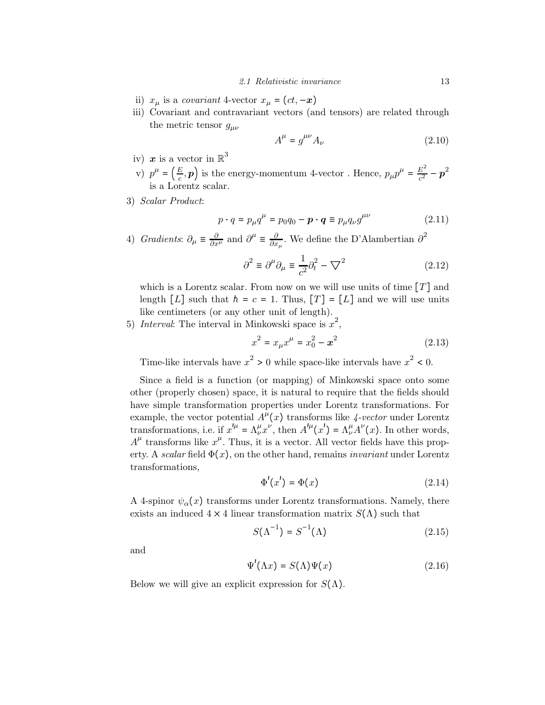#### 2.1 Relativistic invariance 13

- ii)  $x_{\mu}$  is a *covariant* 4-vector  $x_{\mu} = (ct, -x)$
- iii) Covariant and contravariant vectors (and tensors) are related through the metric tensor  $g_{\mu\nu}$

$$
A^{\mu} = g^{\mu\nu} A_{\nu} \tag{2.10}
$$

- iv) x is a vector in  $\mathbb{R}^3$
- v)  $p^{\mu} = \left(\frac{E}{c}, p\right)$  is the energy-momentum 4-vector. Hence,  $p_{\mu}p^{\mu} = \frac{E^2}{c^2} p^2$ is a Lorentz scalar.
- 3) Scalar Product:

$$
p \cdot q = p_{\mu} q^{\mu} = p_0 q_0 - \boldsymbol{p} \cdot \boldsymbol{q} \equiv p_{\mu} q_{\nu} g^{\mu \nu} \tag{2.11}
$$

4) Gradients:  $\partial_{\mu} \equiv \frac{\partial}{\partial x^{\mu}}$  and  $\partial^{\mu} \equiv \frac{\partial}{\partial x_{\mu}}$ . We define the D'Alambertian  $\partial^2$ 

$$
\partial^2 \equiv \partial^\mu \partial_\mu \equiv \frac{1}{c^2} \partial_t^2 - \nabla^2 \tag{2.12}
$$

which is a Lorentz scalar. From now on we will use units of time  $[T]$  and length  $[L]$  such that  $h = c = 1$ . Thus,  $[T] = [L]$  and we will use units like centimeters (or any other unit of length).

5) Interval: The interval in Minkowski space is  $x^2$ ,

$$
x^2 = x_{\mu} x^{\mu} = x_0^2 - x^2 \tag{2.13}
$$

Time-like intervals have  $x^2 > 0$  while space-like intervals have  $x^2 < 0$ .

Since a field is a function (or mapping) of Minkowski space onto some other (properly chosen) space, it is natural to require that the fields should have simple transformation properties under Lorentz transformations. For example, the vector potential  $A^{\mu}(x)$  transforms like 4-vector under Lorentz transformations, i.e. if  $x'' = \Lambda^{\mu}_{\nu} x^{\nu}$ , then  $A'^{\mu}(x') = \Lambda^{\mu}_{\nu} A^{\nu}(x)$ . In other words,  $A^{\mu}$  transforms like  $x^{\mu}$ . Thus, it is a vector. All vector fields have this property. A scalar field  $\Phi(x)$ , on the other hand, remains *invariant* under Lorentz transformations,

$$
\Phi'(x') = \Phi(x) \tag{2.14}
$$

A 4-spinor  $\psi_{\alpha}(x)$  transforms under Lorentz transformations. Namely, there exists an induced  $4 \times 4$  linear transformation matrix  $S(\Lambda)$  such that

$$
S(\Lambda^{-1}) = S^{-1}(\Lambda) \tag{2.15}
$$

and

$$
\Psi'(\Lambda x) = S(\Lambda)\Psi(x) \tag{2.16}
$$

Below we will give an explicit expression for  $S(\Lambda)$ .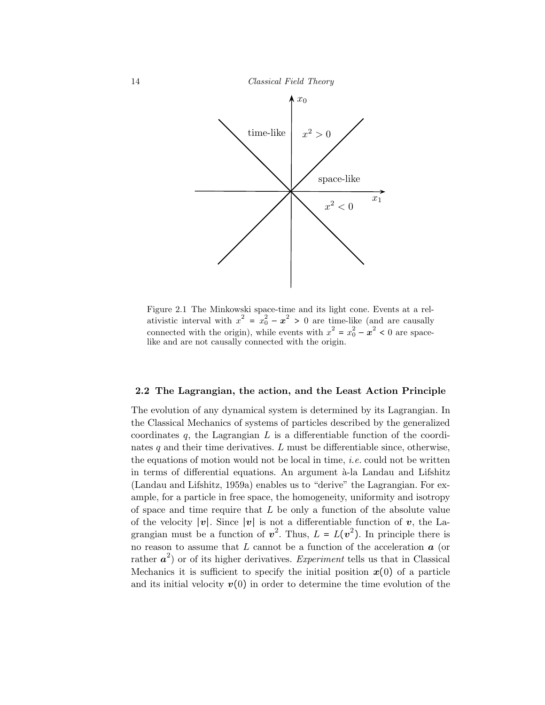

Figure 2.1 The Minkowski space-time and its light cone. Events at a relativistic interval with  $x^2 = x_0^2 - x^2 > 0$  are time-like (and are causally connected with the origin), while events with  $x^2 = x_0^2 - x^2 < 0$  are spacelike and are not causally connected with the origin.

## 2.2 The Lagrangian, the action, and the Least Action Principle

The evolution of any dynamical system is determined by its Lagrangian. In the Classical Mechanics of systems of particles described by the generalized coordinates  $q$ , the Lagrangian  $L$  is a differentiable function of the coordinates  $q$  and their time derivatives. L must be differentiable since, otherwise, the equations of motion would not be local in time, *i.e.* could not be written in terms of differential equations. An argument  $\lambda$ -la Landau and Lifshitz (Landau and Lifshitz, 1959a) enables us to "derive" the Lagrangian. For example, for a particle in free space, the homogeneity, uniformity and isotropy of space and time require that  $L$  be only a function of the absolute value of the velocity  $|v|$ . Since  $|v|$  is not a differentiable function of v, the Lagrangian must be a function of  $v^2$ . Thus,  $L = L(v^2)$ . In principle there is no reason to assume that  $L$  cannot be a function of the acceleration  $a$  (or rather  $a^2$ ) or of its higher derivatives. Experiment tells us that in Classical Mechanics it is sufficient to specify the initial position  $x(0)$  of a particle and its initial velocity  $v(0)$  in order to determine the time evolution of the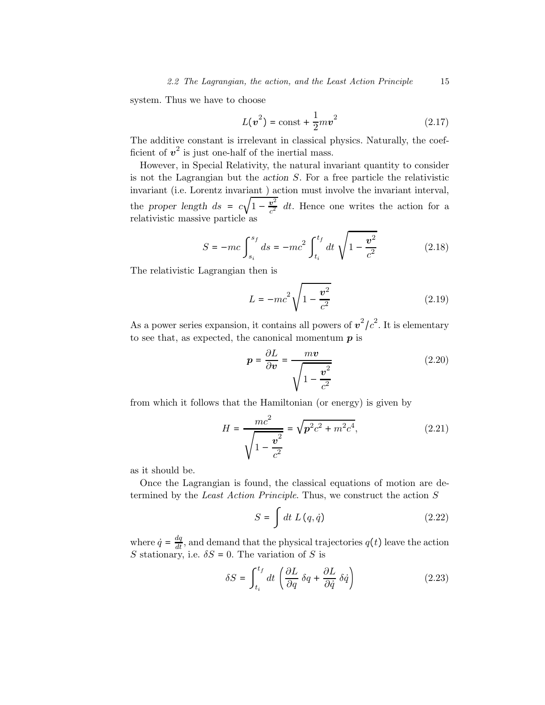system. Thus we have to choose

$$
L(v^2) = \text{const} + \frac{1}{2}mv^2 \qquad (2.17)
$$

The additive constant is irrelevant in classical physics. Naturally, the coefficient of  $v^2$  is just one-half of the inertial mass.

However, in Special Relativity, the natural invariant quantity to consider is not the Lagrangian but the action S. For a free particle the relativistic invariant (i.e. Lorentz invariant ) action must involve the invariant interval, the proper length  $ds = c\sqrt{1-\frac{v^2}{c^2}}$  dt. Hence one writes the action for a relativistic massive particle as

$$
S = -mc \int_{s_i}^{s_f} ds = -mc^2 \int_{t_i}^{t_f} dt \sqrt{1 - \frac{v^2}{c^2}}
$$
 (2.18)

The relativistic Lagrangian then is

$$
L = -mc^2 \sqrt{1 - \frac{v^2}{c^2}}
$$
 (2.19)

As a power series expansion, it contains all powers of  $v^2/c^2$ . It is elementary to see that, as expected, the canonical momentum  $p$  is

$$
p = \frac{\partial L}{\partial v} = \frac{mv}{\sqrt{1 - \frac{v^2}{c^2}}}
$$
(2.20)

from which it follows that the Hamiltonian (or energy) is given by

$$
H = \frac{mc^2}{\sqrt{1 - \frac{v^2}{c^2}}} = \sqrt{p^2 c^2 + m^2 c^4},
$$
\n(2.21)

as it should be.

Once the Lagrangian is found, the classical equations of motion are determined by the Least Action Principle. Thus, we construct the action S

$$
S = \int dt L(q, \dot{q}) \tag{2.22}
$$

where  $\dot{q} = \frac{dq}{dt}$ , and demand that the physical trajectories  $q(t)$  leave the action S stationary, i.e.  $\delta S = 0$ . The variation of S is

$$
\delta S = \int_{t_i}^{t_f} dt \left( \frac{\partial L}{\partial q} \, \delta q + \frac{\partial L}{\partial \dot{q}} \, \delta \dot{q} \right) \tag{2.23}
$$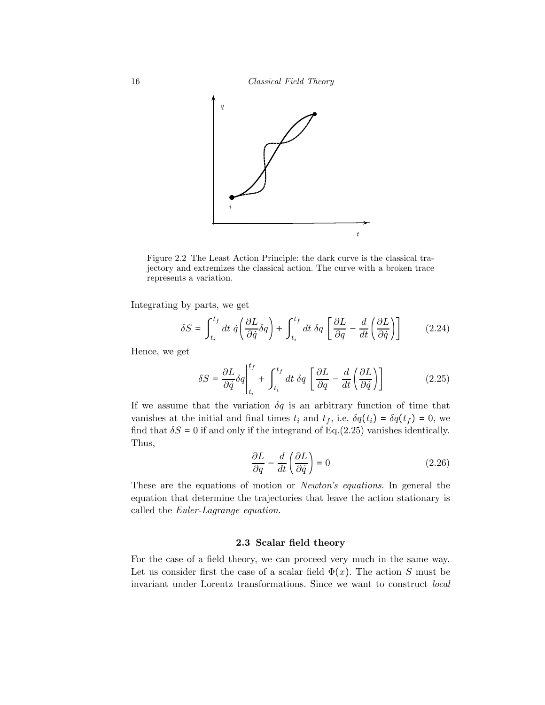

Figure 2.2 The Least Action Principle: the dark curve is the classical trajectory and extremizes the classical action. The curve with a broken trace represents a variation.

Integrating by parts, we get

$$
\delta S = \int_{t_i}^{t_f} dt \dot{q} \left( \frac{\partial L}{\partial \dot{q}} \delta q \right) + \int_{t_i}^{t_f} dt \delta q \left[ \frac{\partial L}{\partial q} - \frac{d}{dt} \left( \frac{\partial L}{\partial \dot{q}} \right) \right]
$$
(2.24)

Hence, we get

$$
\delta S = \frac{\partial L}{\partial \dot{q}} \delta q \Big|_{t_i}^{t_f} + \int_{t_i}^{t_f} dt \ \delta q \left[ \frac{\partial L}{\partial q} - \frac{d}{dt} \left( \frac{\partial L}{\partial \dot{q}} \right) \right]
$$
(2.25)

If we assume that the variation  $\delta q$  is an arbitrary function of time that vanishes at the initial and final times  $t_i$  and  $t_f$ , i.e.  $\delta q(t_i) = \delta q(t_f) = 0$ , we find that  $\delta S = 0$  if and only if the integrand of Eq.(2.25) vanishes identically. Thus,

$$
\frac{\partial L}{\partial q} - \frac{d}{dt} \left( \frac{\partial L}{\partial \dot{q}} \right) = 0 \tag{2.26}
$$

These are the equations of motion or Newton's equations. In general the equation that determine the trajectories that leave the action stationary is called the Euler-Lagrange equation.

## 2.3 Scalar field theory

For the case of a field theory, we can proceed very much in the same way. Let us consider first the case of a scalar field  $\Phi(x)$ . The action S must be invariant under Lorentz transformations. Since we want to construct local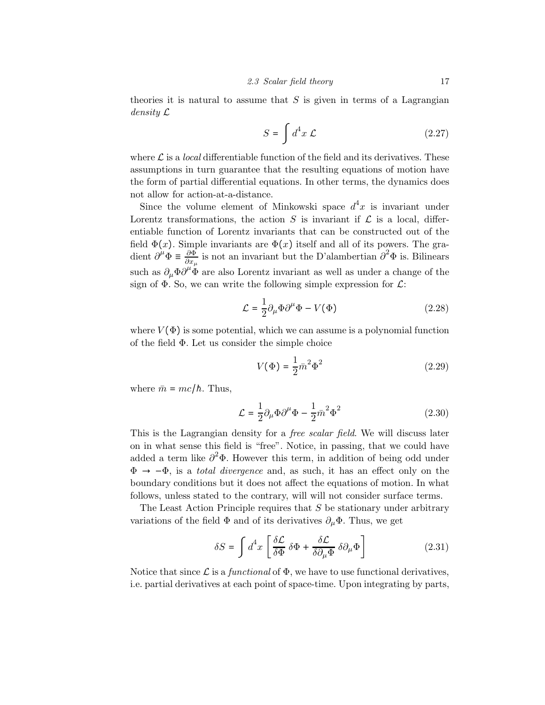theories it is natural to assume that  $S$  is given in terms of a Lagrangian density L

$$
S = \int d^4x \mathcal{L} \tag{2.27}
$$

where  $\mathcal L$  is a *local* differentiable function of the field and its derivatives. These assumptions in turn guarantee that the resulting equations of motion have the form of partial differential equations. In other terms, the dynamics does not allow for action-at-a-distance.

Since the volume element of Minkowski space  $d^4x$  is invariant under Lorentz transformations, the action S is invariant if  $\mathcal L$  is a local, differentiable function of Lorentz invariants that can be constructed out of the field  $\Phi(x)$ . Simple invariants are  $\Phi(x)$  itself and all of its powers. The gradient  $\partial^{\mu}\Phi \equiv \frac{\partial \Phi}{\partial x_{\mu}}$  is not an invariant but the D'alambertian  $\partial^2 \Phi$  is. Bilinears such as  $\partial_{\mu} \Phi \partial^{\mu} \Phi$  are also Lorentz invariant as well as under a change of the sign of  $\Phi$ . So, we can write the following simple expression for  $\mathcal{L}$ :

$$
\mathcal{L} = \frac{1}{2} \partial_{\mu} \Phi \partial^{\mu} \Phi - V(\Phi) \tag{2.28}
$$

where  $V(\Phi)$  is some potential, which we can assume is a polynomial function of the field Φ. Let us consider the simple choice

$$
V(\Phi) = \frac{1}{2}\bar{m}^2\Phi^2
$$
 (2.29)

where  $\bar{m} = mc/\hbar$ . Thus,

$$
\mathcal{L} = \frac{1}{2} \partial_{\mu} \Phi \partial^{\mu} \Phi - \frac{1}{2} \bar{m}^2 \Phi^2 \qquad (2.30)
$$

This is the Lagrangian density for a free scalar field. We will discuss later on in what sense this field is "free". Notice, in passing, that we could have added a term like  $\partial^2 \Phi$ . However this term, in addition of being odd under  $\Phi \rightarrow -\Phi$ , is a *total divergence* and, as such, it has an effect only on the boundary conditions but it does not affect the equations of motion. In what follows, unless stated to the contrary, will will not consider surface terms.

The Least Action Principle requires that  $S$  be stationary under arbitrary variations of the field  $\Phi$  and of its derivatives  $\partial_{\mu}\Phi$ . Thus, we get

$$
\delta S = \int d^4x \left[ \frac{\delta \mathcal{L}}{\delta \Phi} \, \delta \Phi + \frac{\delta \mathcal{L}}{\delta \partial_\mu \Phi} \, \delta \partial_\mu \Phi \right] \tag{2.31}
$$

Notice that since  $\mathcal L$  is a functional of  $\Phi$ , we have to use functional derivatives, i.e. partial derivatives at each point of space-time. Upon integrating by parts,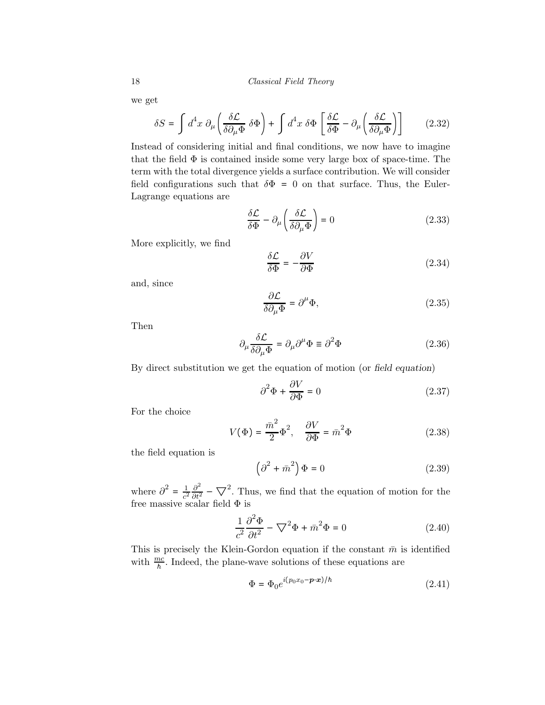we get

$$
\delta S = \int d^4x \ \partial_\mu \left( \frac{\delta \mathcal{L}}{\delta \partial_\mu \Phi} \ \delta \Phi \right) + \int d^4x \ \delta \Phi \left[ \frac{\delta \mathcal{L}}{\delta \Phi} - \partial_\mu \left( \frac{\delta \mathcal{L}}{\delta \partial_\mu \Phi} \right) \right] \tag{2.32}
$$

Instead of considering initial and final conditions, we now have to imagine that the field  $\Phi$  is contained inside some very large box of space-time. The term with the total divergence yields a surface contribution. We will consider field configurations such that  $\delta\Phi = 0$  on that surface. Thus, the Euler-Lagrange equations are

$$
\frac{\delta \mathcal{L}}{\delta \Phi} - \partial_{\mu} \left( \frac{\delta \mathcal{L}}{\delta \partial_{\mu} \Phi} \right) = 0 \tag{2.33}
$$

More explicitly, we find

$$
\frac{\delta \mathcal{L}}{\delta \Phi} = -\frac{\partial V}{\partial \Phi} \tag{2.34}
$$

and, since

$$
\frac{\partial \mathcal{L}}{\delta \partial_{\mu} \Phi} = \partial^{\mu} \Phi,
$$
\n(2.35)

Then

$$
\partial_{\mu}\frac{\delta\mathcal{L}}{\delta\partial_{\mu}\Phi} = \partial_{\mu}\partial^{\mu}\Phi \equiv \partial^2\Phi
$$
 (2.36)

By direct substitution we get the equation of motion (or field equation)

$$
\partial^2 \Phi + \frac{\partial V}{\partial \Phi} = 0 \tag{2.37}
$$

For the choice

$$
V(\Phi) = \frac{\bar{m}^2}{2} \Phi^2, \quad \frac{\partial V}{\partial \Phi} = \bar{m}^2 \Phi \tag{2.38}
$$

the field equation is

$$
\left(\partial^2 + \bar{m}^2\right)\Phi = 0\tag{2.39}
$$

where  $\partial^2 = \frac{1}{c^2}$  $\partial^2$  $\frac{\partial^2}{\partial t^2}$  –  $\nabla^2$ . Thus, we find that the equation of motion for the free massive scalar field Φ is

$$
\frac{1}{c^2} \frac{\partial^2 \Phi}{\partial t^2} - \nabla^2 \Phi + \bar{m}^2 \Phi = 0
$$
\n(2.40)

This is precisely the Klein-Gordon equation if the constant  $\bar{m}$  is identified with  $\frac{mc}{h}$ . Indeed, the plane-wave solutions of these equations are

$$
\Phi = \Phi_0 e^{i(p_0 x_0 - \mathbf{p} \cdot \mathbf{x})/\hbar} \tag{2.41}
$$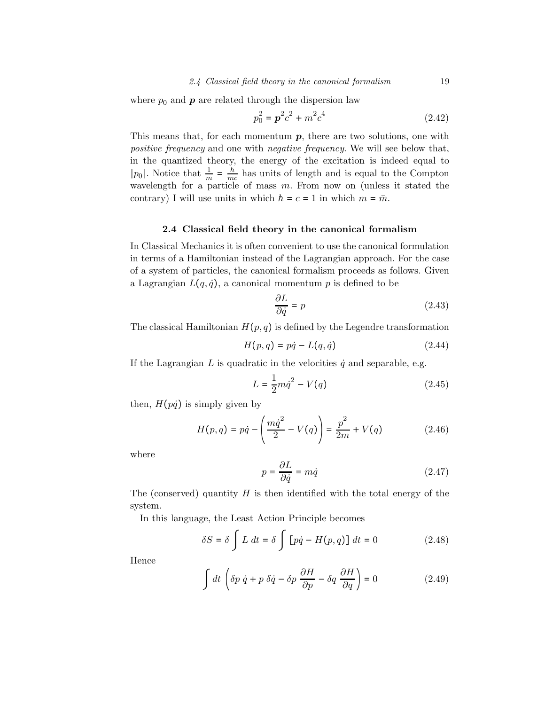where  $p_0$  and  $\boldsymbol{p}$  are related through the dispersion law

$$
p_0^2 = \mathbf{p}^2 c^2 + m^2 c^4 \tag{2.42}
$$

This means that, for each momentum  $p$ , there are two solutions, one with positive frequency and one with negative frequency. We will see below that, in the quantized theory, the energy of the excitation is indeed equal to |p<sub>0</sub>|. Notice that  $\frac{1}{m} = \frac{\hbar}{mc}$  has units of length and is equal to the Compton wavelength for a particle of mass  $m$ . From now on (unless it stated the contrary) I will use units in which  $\hbar = c = 1$  in which  $m = \bar{m}$ .

## 2.4 Classical field theory in the canonical formalism

In Classical Mechanics it is often convenient to use the canonical formulation in terms of a Hamiltonian instead of the Lagrangian approach. For the case of a system of particles, the canonical formalism proceeds as follows. Given a Lagrangian  $L(q, \dot{q})$ , a canonical momentum p is defined to be

$$
\frac{\partial L}{\partial \dot{q}} = p \tag{2.43}
$$

The classical Hamiltonian  $H(p, q)$  is defined by the Legendre transformation

$$
H(p,q) = p\dot{q} - L(q,\dot{q})\tag{2.44}
$$

If the Lagrangian  $L$  is quadratic in the velocities  $\dot{q}$  and separable, e.g.

$$
L = \frac{1}{2}m\dot{q}^2 - V(q) \tag{2.45}
$$

then,  $H(p\dot{q})$  is simply given by

$$
H(p,q) = p\dot{q} - \left(\frac{m\dot{q}^2}{2} - V(q)\right) = \frac{p^2}{2m} + V(q)
$$
 (2.46)

where

$$
p = \frac{\partial L}{\partial \dot{q}} = m\dot{q} \tag{2.47}
$$

The (conserved) quantity  $H$  is then identified with the total energy of the system.

In this language, the Least Action Principle becomes

$$
\delta S = \delta \int L dt = \delta \int [p\dot{q} - H(p, q)] dt = 0 \qquad (2.48)
$$

Hence

$$
\int dt \left( \delta p \dot{q} + p \delta \dot{q} - \delta p \frac{\partial H}{\partial p} - \delta q \frac{\partial H}{\partial q} \right) = 0 \tag{2.49}
$$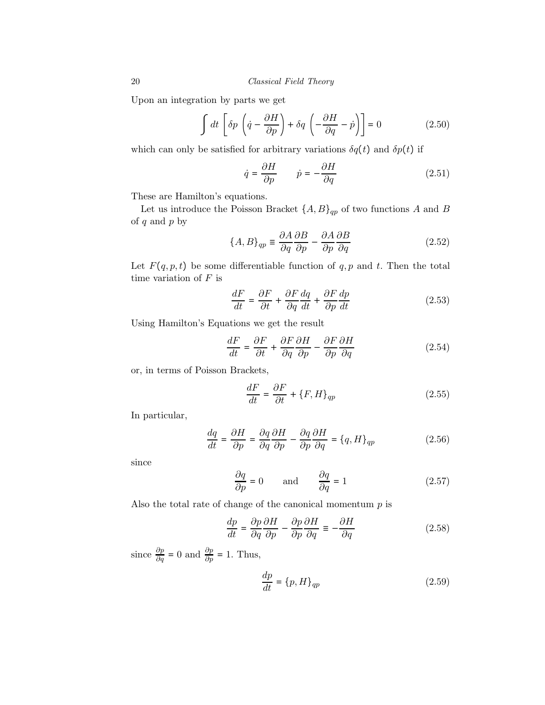Upon an integration by parts we get

$$
\int dt \left[ \delta p \left( \dot{q} - \frac{\partial H}{\partial p} \right) + \delta q \left( -\frac{\partial H}{\partial q} - \dot{p} \right) \right] = 0 \tag{2.50}
$$

which can only be satisfied for arbitrary variations  $\delta q(t)$  and  $\delta p(t)$  if

$$
\dot{q} = \frac{\partial H}{\partial p} \qquad \dot{p} = -\frac{\partial H}{\partial q} \tag{2.51}
$$

These are Hamilton's equations.

Let us introduce the Poisson Bracket  $\{A, B\}_{qp}$  of two functions A and B of  $q$  and  $p$  by

$$
\{A, B\}_{qp} \equiv \frac{\partial A}{\partial q} \frac{\partial B}{\partial p} - \frac{\partial A}{\partial p} \frac{\partial B}{\partial q}
$$
 (2.52)

Let  $F(q, p, t)$  be some differentiable function of  $q, p$  and  $t$ . Then the total time variation of  $F$  is

$$
\frac{dF}{dt} = \frac{\partial F}{\partial t} + \frac{\partial F}{\partial q}\frac{dq}{dt} + \frac{\partial F}{\partial p}\frac{dp}{dt}
$$
\n(2.53)

Using Hamilton's Equations we get the result

$$
\frac{dF}{dt} = \frac{\partial F}{\partial t} + \frac{\partial F}{\partial q} \frac{\partial H}{\partial p} - \frac{\partial F}{\partial p} \frac{\partial H}{\partial q}
$$
(2.54)

or, in terms of Poisson Brackets,

$$
\frac{dF}{dt} = \frac{\partial F}{\partial t} + \{F, H\}_{qp} \tag{2.55}
$$

In particular,

$$
\frac{dq}{dt} = \frac{\partial H}{\partial p} = \frac{\partial q}{\partial q} \frac{\partial H}{\partial p} - \frac{\partial q}{\partial p} \frac{\partial H}{\partial q} = \{q, H\}_{qp}
$$
\n(2.56)

since

$$
\frac{\partial q}{\partial p} = 0 \quad \text{and} \quad \frac{\partial q}{\partial q} = 1 \tag{2.57}
$$

Also the total rate of change of the canonical momentum  $p$  is

$$
\frac{dp}{dt} = \frac{\partial p}{\partial q} \frac{\partial H}{\partial p} - \frac{\partial p}{\partial p} \frac{\partial H}{\partial q} \equiv -\frac{\partial H}{\partial q}
$$
(2.58)

since  $\frac{\partial p}{\partial q} = 0$  and  $\frac{\partial p}{\partial p} = 1$ . Thus,

$$
\frac{dp}{dt} = \{p, H\}_{qp} \tag{2.59}
$$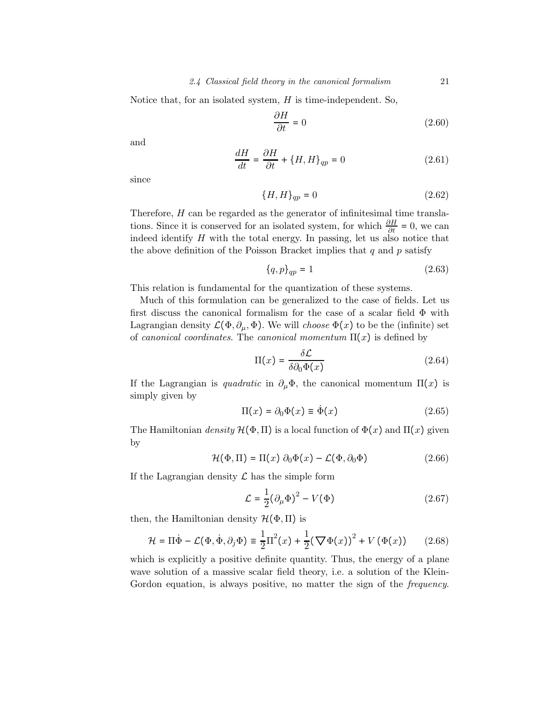Notice that, for an isolated system,  $H$  is time-independent. So,

$$
\frac{\partial H}{\partial t} = 0\tag{2.60}
$$

and

$$
\frac{dH}{dt} = \frac{\partial H}{\partial t} + \{H, H\}_{qp} = 0
$$
\n(2.61)

since

$$
\{H,H\}_{qp}=0 \qquad \qquad (2.62)
$$

Therefore, H can be regarded as the generator of infinitesimal time translations. Since it is conserved for an isolated system, for which  $\frac{\partial H}{\partial t} = 0$ , we can indeed identify  $H$  with the total energy. In passing, let us also notice that the above definition of the Poisson Bracket implies that q and  $p$  satisfy

$$
\{q, p\}_{qp} = 1\tag{2.63}
$$

This relation is fundamental for the quantization of these systems.

Much of this formulation can be generalized to the case of fields. Let us first discuss the canonical formalism for the case of a scalar field Φ with Lagrangian density  $\mathcal{L}(\Phi, \partial_\mu, \Phi)$ . We will *choose*  $\Phi(x)$  to be the (infinite) set of canonical coordinates. The canonical momentum  $\Pi(x)$  is defined by

$$
\Pi(x) = \frac{\delta \mathcal{L}}{\delta \partial_0 \Phi(x)}\tag{2.64}
$$

If the Lagrangian is quadratic in  $\partial_{\mu} \Phi$ , the canonical momentum  $\Pi(x)$  is simply given by

$$
\Pi(x) = \partial_0 \Phi(x) \equiv \dot{\Phi}(x) \tag{2.65}
$$

The Hamiltonian density  $\mathcal{H}(\Phi,\Pi)$  is a local function of  $\Phi(x)$  and  $\Pi(x)$  given by

$$
\mathcal{H}(\Phi,\Pi) = \Pi(x)\,\partial_0\Phi(x) - \mathcal{L}(\Phi,\partial_0\Phi) \tag{2.66}
$$

If the Lagrangian density  $\mathcal L$  has the simple form

$$
\mathcal{L} = \frac{1}{2} (\partial_{\mu} \Phi)^2 - V(\Phi)
$$
 (2.67)

then, the Hamiltonian density  $\mathcal{H}(\Phi,\Pi)$  is

$$
\mathcal{H} = \Pi \dot{\Phi} - \mathcal{L}(\Phi, \dot{\Phi}, \partial_j \Phi) \equiv \frac{1}{2} \Pi^2(x) + \frac{1}{2} (\nabla \Phi(x))^2 + V(\Phi(x)) \qquad (2.68)
$$

which is explicitly a positive definite quantity. Thus, the energy of a plane wave solution of a massive scalar field theory, i.e. a solution of the Klein-Gordon equation, is always positive, no matter the sign of the *frequency*.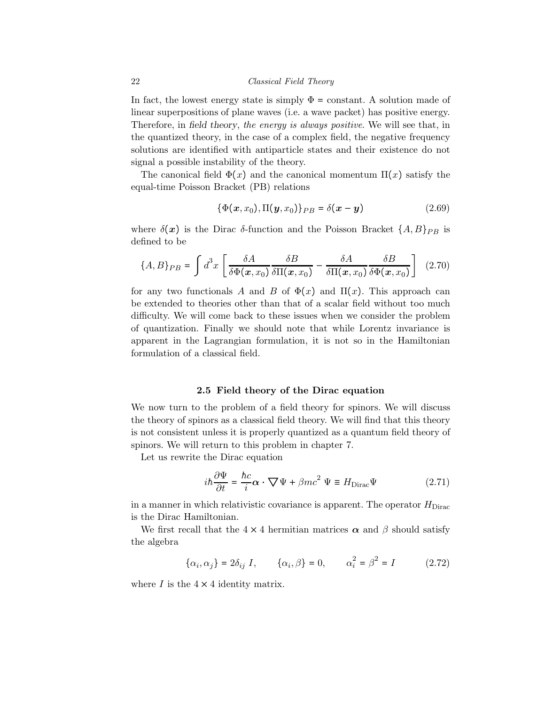In fact, the lowest energy state is simply  $\Phi = constant$ . A solution made of linear superpositions of plane waves (i.e. a wave packet) has positive energy. Therefore, in field theory, the energy is always positive. We will see that, in the quantized theory, in the case of a complex field, the negative frequency solutions are identified with antiparticle states and their existence do not signal a possible instability of the theory.

The canonical field  $\Phi(x)$  and the canonical momentum  $\Pi(x)$  satisfy the equal-time Poisson Bracket (PB) relations

$$
\{\Phi(\boldsymbol{x},x_0),\Pi(\boldsymbol{y},x_0)\}_{PB}=\delta(\boldsymbol{x}-\boldsymbol{y})
$$
\n(2.69)

where  $\delta(x)$  is the Dirac δ-function and the Poisson Bracket  $\{A, B\}_{PB}$  is defined to be

$$
\{A, B\}_{PB} = \int d^3x \left[ \frac{\delta A}{\delta \Phi(x, x_0)} \frac{\delta B}{\delta \Pi(x, x_0)} - \frac{\delta A}{\delta \Pi(x, x_0)} \frac{\delta B}{\delta \Phi(x, x_0)} \right] \tag{2.70}
$$

for any two functionals A and B of  $\Phi(x)$  and  $\Pi(x)$ . This approach can be extended to theories other than that of a scalar field without too much difficulty. We will come back to these issues when we consider the problem of quantization. Finally we should note that while Lorentz invariance is apparent in the Lagrangian formulation, it is not so in the Hamiltonian formulation of a classical field.

## 2.5 Field theory of the Dirac equation

We now turn to the problem of a field theory for spinors. We will discuss the theory of spinors as a classical field theory. We will find that this theory is not consistent unless it is properly quantized as a quantum field theory of spinors. We will return to this problem in chapter 7.

Let us rewrite the Dirac equation

$$
i\hbar \frac{\partial \Psi}{\partial t} = \frac{\hbar c}{i} \alpha \cdot \nabla \Psi + \beta mc^2 \Psi \equiv H_{\text{Dirac}} \Psi \qquad (2.71)
$$

in a manner in which relativistic covariance is apparent. The operator  $H_{\text{Dirac}}$ is the Dirac Hamiltonian.

We first recall that the  $4 \times 4$  hermitian matrices  $\alpha$  and  $\beta$  should satisfy the algebra

$$
\{\alpha_i, \alpha_j\} = 2\delta_{ij} I, \qquad \{\alpha_i, \beta\} = 0, \qquad \alpha_i^2 = \beta^2 = I \tag{2.72}
$$

where  $I$  is the  $4 \times 4$  identity matrix.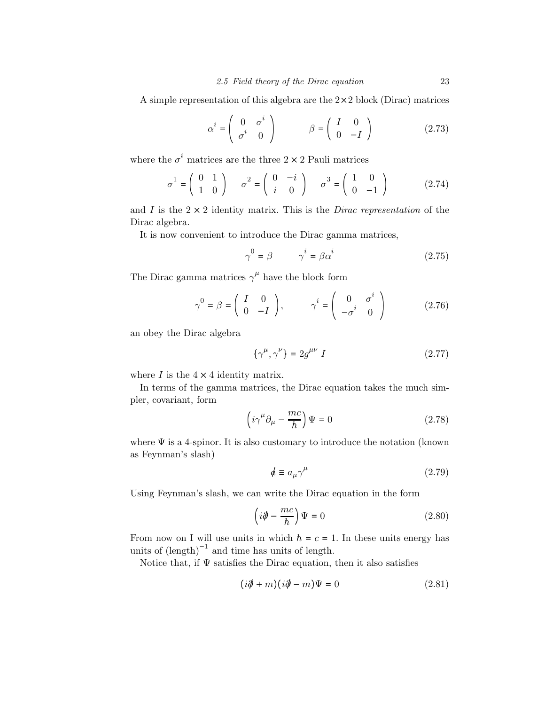A simple representation of this algebra are the 2×2 block (Dirac) matrices

$$
\alpha^{i} = \begin{pmatrix} 0 & \sigma^{i} \\ \sigma^{i} & 0 \end{pmatrix} \qquad \beta = \begin{pmatrix} I & 0 \\ 0 & -I \end{pmatrix}
$$
 (2.73)

where the  $\sigma^i$  matrices are the three  $2 \times 2$  Pauli matrices

$$
\sigma^1 = \begin{pmatrix} 0 & 1 \\ 1 & 0 \end{pmatrix} \quad \sigma^2 = \begin{pmatrix} 0 & -i \\ i & 0 \end{pmatrix} \quad \sigma^3 = \begin{pmatrix} 1 & 0 \\ 0 & -1 \end{pmatrix} \tag{2.74}
$$

and I is the  $2 \times 2$  identity matrix. This is the *Dirac representation* of the Dirac algebra.

It is now convenient to introduce the Dirac gamma matrices,

$$
\gamma^0 = \beta \qquad \gamma^i = \beta \alpha^i \tag{2.75}
$$

The Dirac gamma matrices  $\gamma^{\mu}$  have the block form

$$
\gamma^0 = \beta = \begin{pmatrix} I & 0 \\ 0 & -I \end{pmatrix}, \qquad \gamma^i = \begin{pmatrix} 0 & \sigma^i \\ -\sigma^i & 0 \end{pmatrix}
$$
 (2.76)

an obey the Dirac algebra

$$
\{\gamma^{\mu}, \gamma^{\nu}\} = 2g^{\mu\nu} I \tag{2.77}
$$

where  $I$  is the  $4 \times 4$  identity matrix.

In terms of the gamma matrices, the Dirac equation takes the much simpler, covariant, form

$$
\left(i\gamma^{\mu}\partial_{\mu} - \frac{mc}{\hbar}\right)\Psi = 0\tag{2.78}
$$

where  $\Psi$  is a 4-spinor. It is also customary to introduce the notation (known as Feynman's slash)

$$
\phi \equiv a_{\mu} \gamma^{\mu} \tag{2.79}
$$

Using Feynman's slash, we can write the Dirac equation in the form

$$
\left(i\partial\!\!\!/ - \frac{mc}{\hbar}\right)\Psi = 0\tag{2.80}
$$

From now on I will use units in which  $\hbar = c = 1$ . In these units energy has units of  $(\text{length})^{-1}$  and time has units of length.

Notice that, if  $\Psi$  satisfies the Dirac equation, then it also satisfies

$$
(i\partial \!\!\! /+m)(i\partial \!\!\! /-m)\Psi = 0 \qquad (2.81)
$$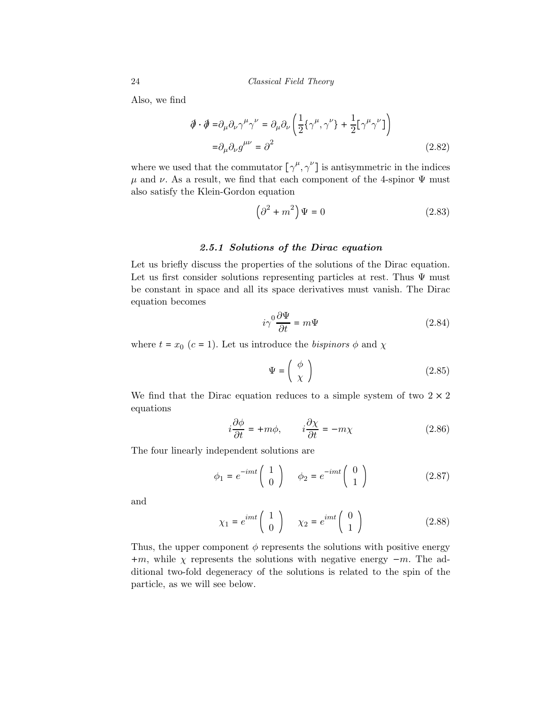Also, we find

$$
\begin{aligned} \n\partial \cdot \partial \theta &= \partial_{\mu} \partial_{\nu} \gamma^{\mu} \gamma^{\nu} = \partial_{\mu} \partial_{\nu} \left( \frac{1}{2} \{ \gamma^{\mu}, \gamma^{\nu} \} + \frac{1}{2} \left[ \gamma^{\mu} \gamma^{\nu} \right] \right) \\ \n&= \partial_{\mu} \partial_{\nu} g^{\mu \nu} = \partial^{2} \n\end{aligned} \tag{2.82}
$$

where we used that the commutator  $[\gamma^{\mu}, \gamma^{\nu}]$  is antisymmetric in the indices  $\mu$  and  $\nu$ . As a result, we find that each component of the 4-spinor  $\Psi$  must also satisfy the Klein-Gordon equation

$$
\left(\partial^2 + m^2\right)\Psi = 0\tag{2.83}
$$

## 2.5.1 Solutions of the Dirac equation

Let us briefly discuss the properties of the solutions of the Dirac equation. Let us first consider solutions representing particles at rest. Thus  $\Psi$  must be constant in space and all its space derivatives must vanish. The Dirac equation becomes

$$
i\gamma^0 \frac{\partial \Psi}{\partial t} = m\Psi \tag{2.84}
$$

where  $t = x_0$  (c = 1). Let us introduce the bispinors  $\phi$  and  $\chi$ 

$$
\Psi = \left(\begin{array}{c} \phi \\ \chi \end{array}\right) \tag{2.85}
$$

We find that the Dirac equation reduces to a simple system of two  $2 \times 2$ equations

$$
i\frac{\partial\phi}{\partial t} = +m\phi, \qquad i\frac{\partial\chi}{\partial t} = -m\chi \tag{2.86}
$$

The four linearly independent solutions are

$$
\phi_1 = e^{-imt} \begin{pmatrix} 1 \\ 0 \end{pmatrix} \qquad \phi_2 = e^{-imt} \begin{pmatrix} 0 \\ 1 \end{pmatrix} \tag{2.87}
$$

and

$$
\chi_1 = e^{imt} \begin{pmatrix} 1 \\ 0 \end{pmatrix} \qquad \chi_2 = e^{imt} \begin{pmatrix} 0 \\ 1 \end{pmatrix} \tag{2.88}
$$

Thus, the upper component  $\phi$  represents the solutions with positive energy  $+m$ , while  $\chi$  represents the solutions with negative energy  $-m$ . The additional two-fold degeneracy of the solutions is related to the spin of the particle, as we will see below.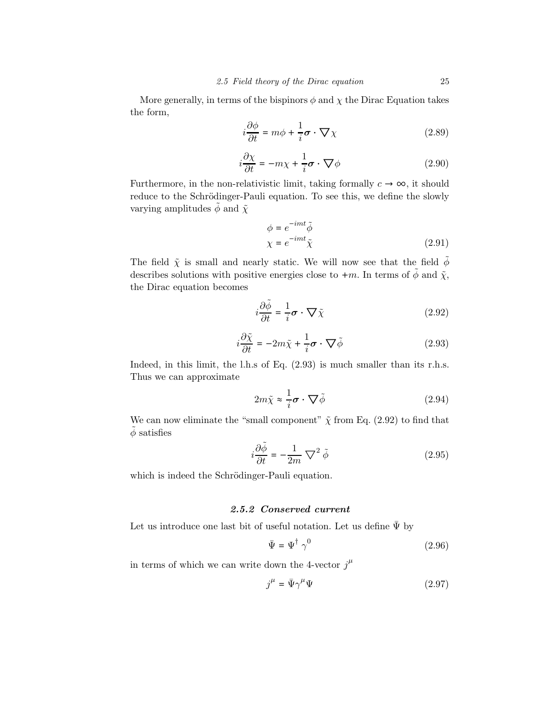More generally, in terms of the bispinors  $\phi$  and  $\chi$  the Dirac Equation takes the form,

$$
i\frac{\partial \phi}{\partial t} = m\phi + \frac{1}{i}\boldsymbol{\sigma} \cdot \boldsymbol{\nabla} \chi \tag{2.89}
$$

$$
i\frac{\partial \chi}{\partial t} = -m\chi + \frac{1}{i}\boldsymbol{\sigma} \cdot \boldsymbol{\nabla}\phi \qquad (2.90)
$$

Furthermore, in the non-relativistic limit, taking formally  $c \to \infty$ , it should reduce to the Schrödinger-Pauli equation. To see this, we define the slowly varying amplitudes  $\tilde{\phi}$  and  $\tilde{\chi}$ 

$$
\phi = e^{-imt} \tilde{\phi}
$$
  

$$
\chi = e^{-imt} \tilde{\chi}
$$
 (2.91)

The field  $\tilde\chi$  is small and nearly static. We will now see that the field  $\tilde\phi$ describes solutions with positive energies close to  $+m$ . In terms of  $\tilde{\phi}$  and  $\tilde{\chi}$ , the Dirac equation becomes

$$
i\frac{\partial \tilde{\phi}}{\partial t} = \frac{1}{i}\boldsymbol{\sigma} \cdot \boldsymbol{\nabla} \tilde{\chi}
$$
 (2.92)

$$
i\frac{\partial \tilde{\chi}}{\partial t} = -2m\tilde{\chi} + \frac{1}{i}\boldsymbol{\sigma} \cdot \nabla \tilde{\phi}
$$
 (2.93)

Indeed, in this limit, the l.h.s of Eq.  $(2.93)$  is much smaller than its r.h.s. Thus we can approximate

$$
2m\tilde{\chi} \approx \frac{1}{i}\boldsymbol{\sigma} \cdot \boldsymbol{\nabla} \tilde{\phi}
$$
 (2.94)

We can now eliminate the "small component"  $\tilde{\chi}$  from Eq. (2.92) to find that  $\ddot{\phi}$  satisfies

$$
i\frac{\partial \tilde{\phi}}{\partial t} = -\frac{1}{2m} \nabla^2 \tilde{\phi}
$$
 (2.95)

which is indeed the Schrödinger-Pauli equation.

## 2.5.2 Conserved current

Let us introduce one last bit of useful notation. Let us define  $\bar{\Psi}$  by

$$
\bar{\Psi} = \Psi^{\dagger} \gamma^0 \tag{2.96}
$$

in terms of which we can write down the 4-vector  $j^{\mu}$ 

$$
j^{\mu} = \bar{\Psi}\gamma^{\mu}\Psi\tag{2.97}
$$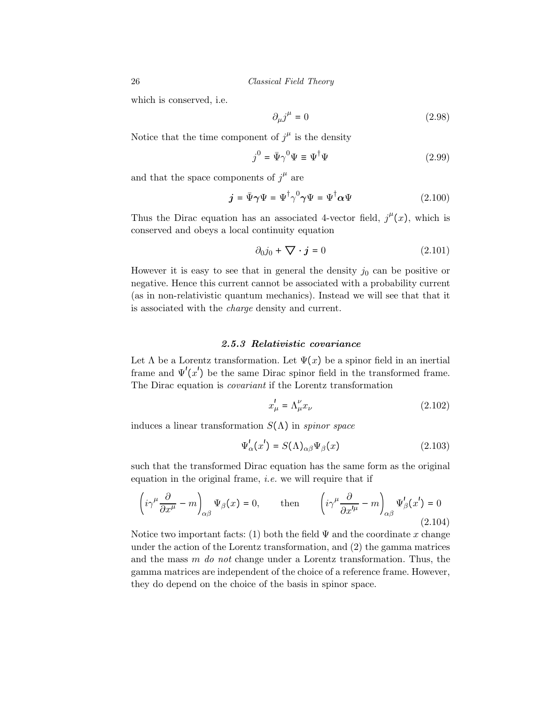which is conserved, i.e.

$$
\partial_{\mu}j^{\mu} = 0 \tag{2.98}
$$

Notice that the time component of  $j^{\mu}$  is the density

$$
j^0 = \bar{\Psi}\gamma^0\Psi \equiv \Psi^\dagger\Psi \tag{2.99}
$$

and that the space components of  $j^{\mu}$  are

$$
\dot{\mathbf{j}} = \bar{\Psi}\gamma\Psi = \Psi^{\dagger}\gamma^0\gamma\Psi = \Psi^{\dagger}\alpha\Psi \tag{2.100}
$$

Thus the Dirac equation has an associated 4-vector field,  $j^{\mu}(x)$ , which is conserved and obeys a local continuity equation

$$
\partial_0 j_0 + \nabla \cdot \mathbf{j} = 0 \tag{2.101}
$$

However it is easy to see that in general the density  $j_0$  can be positive or negative. Hence this current cannot be associated with a probability current (as in non-relativistic quantum mechanics). Instead we will see that that it is associated with the charge density and current.

## 2.5.3 Relativistic covariance

Let  $\Lambda$  be a Lorentz transformation. Let  $\Psi(x)$  be a spinor field in an inertial frame and  $\Psi'(x')$  be the same Dirac spinor field in the transformed frame. The Dirac equation is covariant if the Lorentz transformation

$$
x_{\mu}^{\prime} = \Lambda_{\mu}^{\nu} x_{\nu} \tag{2.102}
$$

induces a linear transformation  $S(\Lambda)$  in *spinor space* 

$$
\Psi'_{\alpha}(x') = S(\Lambda)_{\alpha\beta}\Psi_{\beta}(x) \tag{2.103}
$$

such that the transformed Dirac equation has the same form as the original equation in the original frame, *i.e.* we will require that if

$$
\left(i\gamma^{\mu}\frac{\partial}{\partial x^{\mu}} - m\right)_{\alpha\beta}\Psi_{\beta}(x) = 0, \quad \text{then} \quad \left(i\gamma^{\mu}\frac{\partial}{\partial x^{\prime\mu}} - m\right)_{\alpha\beta}\Psi'_{\beta}(x') = 0
$$
\n(2.104)

Notice two important facts: (1) both the field  $\Psi$  and the coordinate x change under the action of the Lorentz transformation, and (2) the gamma matrices and the mass  $m$  do not change under a Lorentz transformation. Thus, the gamma matrices are independent of the choice of a reference frame. However, they do depend on the choice of the basis in spinor space.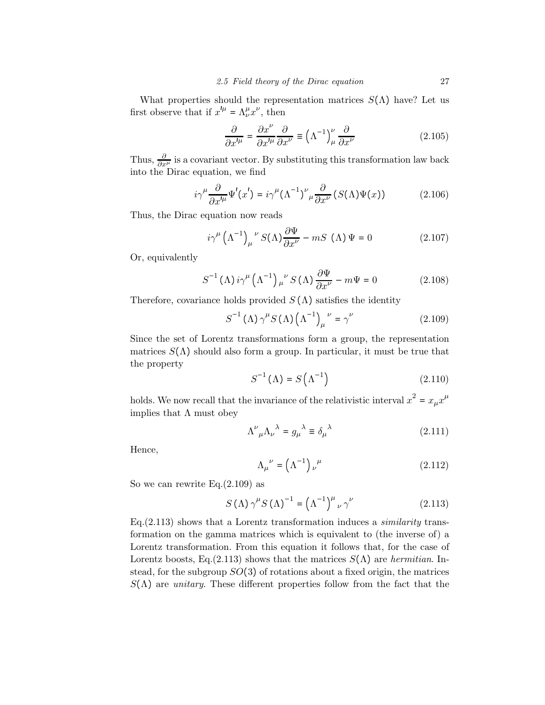What properties should the representation matrices  $S(\Lambda)$  have? Let us first observe that if  $x'^{\mu} = \Lambda^{\mu}_{\nu} x^{\nu}$ , then

$$
\frac{\partial}{\partial x^{\prime \mu}} = \frac{\partial x^{\nu}}{\partial x^{\prime \mu}} \frac{\partial}{\partial x^{\nu}} \equiv \left(\Lambda^{-1}\right)^{\nu}_{\mu} \frac{\partial}{\partial x^{\nu}} \tag{2.105}
$$

Thus,  $\frac{\partial}{\partial x^{\mu}}$  is a covariant vector. By substituting this transformation law back into the Dirac equation, we find

$$
i\gamma^{\mu}\frac{\partial}{\partial x'^{\mu}}\Psi'(x') = i\gamma^{\mu}(\Lambda^{-1})^{\nu}{}_{\mu}\frac{\partial}{\partial x^{\nu}}\left(S(\Lambda)\Psi(x)\right) \tag{2.106}
$$

Thus, the Dirac equation now reads

$$
i\gamma^{\mu} (\Lambda^{-1})_{\mu}^{\nu} S(\Lambda) \frac{\partial \Psi}{\partial x^{\nu}} - mS (\Lambda) \Psi = 0
$$
 (2.107)

Or, equivalently

$$
S^{-1}(\Lambda) i\gamma^{\mu} (\Lambda^{-1})_{\mu}^{\nu} S(\Lambda) \frac{\partial \Psi}{\partial x^{\nu}} - m\Psi = 0
$$
 (2.108)

Therefore, covariance holds provided  $S(\Lambda)$  satisfies the identity

$$
S^{-1}(\Lambda)\gamma^{\mu}S(\Lambda)\left(\Lambda^{-1}\right)^{\nu}=\gamma^{\nu}
$$
 (2.109)

Since the set of Lorentz transformations form a group, the representation matrices  $S(\Lambda)$  should also form a group. In particular, it must be true that the property

$$
S^{-1}(\Lambda) = S(\Lambda^{-1})
$$
\n(2.110)

holds. We now recall that the invariance of the relativistic interval  $x^2 = x_\mu x^\mu$ implies that  $\Lambda$  must obey

$$
\Lambda^{\nu}{}_{\mu}\Lambda_{\nu}{}^{\lambda} = g_{\mu}{}^{\lambda} \equiv \delta_{\mu}{}^{\lambda} \tag{2.111}
$$

Hence,

$$
\Lambda_{\mu}^{\ \nu} = \left(\Lambda^{-1}\right)_{\nu}^{\ \mu} \tag{2.112}
$$

So we can rewrite  $Eq.(2.109)$  as

$$
S(\Lambda)\gamma^{\mu}S(\Lambda)^{-1} = (\Lambda^{-1})^{\mu}{}_{\nu}\gamma^{\nu}
$$
 (2.113)

Eq. $(2.113)$  shows that a Lorentz transformation induces a *similarity* transformation on the gamma matrices which is equivalent to (the inverse of) a Lorentz transformation. From this equation it follows that, for the case of Lorentz boosts, Eq.(2.113) shows that the matrices  $S(\Lambda)$  are hermitian. Instead, for the subgroup  $SO(3)$  of rotations about a fixed origin, the matrices  $S(\Lambda)$  are *unitary*. These different properties follow from the fact that the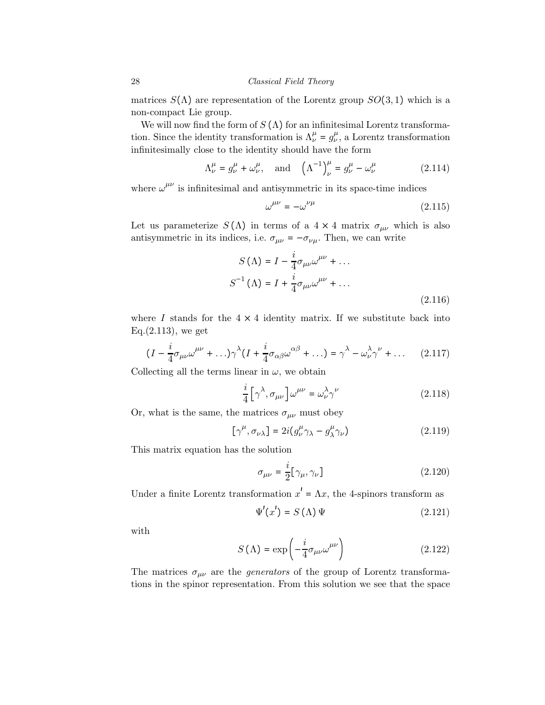matrices  $S(\Lambda)$  are representation of the Lorentz group  $SO(3,1)$  which is a non-compact Lie group.

We will now find the form of  $S(\Lambda)$  for an infinitesimal Lorentz transformation. Since the identity transformation is  $\Lambda^{\mu}_{\nu} = g^{\mu}_{\nu}$ , a Lorentz transformation infinitesimally close to the identity should have the form

$$
\Lambda^{\mu}_{\nu} = g^{\mu}_{\nu} + \omega^{\mu}_{\nu}, \quad \text{and} \quad \left(\Lambda^{-1}\right)^{\mu}_{\nu} = g^{\mu}_{\nu} - \omega^{\mu}_{\nu} \tag{2.114}
$$

where  $\omega^{\mu\nu}$  is infinitesimal and antisymmetric in its space-time indices

$$
\omega^{\mu\nu} = -\omega^{\nu\mu} \tag{2.115}
$$

Let us parameterize  $S(\Lambda)$  in terms of a 4 × 4 matrix  $\sigma_{\mu\nu}$  which is also antisymmetric in its indices, i.e.  $\sigma_{\mu\nu}=-\sigma_{\nu\mu}.$  Then, we can write

$$
S(\Lambda) = I - \frac{i}{4}\sigma_{\mu\nu}\omega^{\mu\nu} + \dots
$$
  

$$
S^{-1}(\Lambda) = I + \frac{i}{4}\sigma_{\mu\nu}\omega^{\mu\nu} + \dots
$$
  
(2.116)

where I stands for the  $4 \times 4$  identity matrix. If we substitute back into Eq.(2.113), we get

$$
(I - \frac{i}{4}\sigma_{\mu\nu}\omega^{\mu\nu} + \ldots)\gamma^{\lambda}(I + \frac{i}{4}\sigma_{\alpha\beta}\omega^{\alpha\beta} + \ldots) = \gamma^{\lambda} - \omega^{\lambda}_{\nu}\gamma^{\nu} + \ldots \qquad (2.117)
$$

Collecting all the terms linear in  $\omega$ , we obtain

$$
\frac{i}{4} \left[ \gamma^{\lambda}, \sigma_{\mu\nu} \right] \omega^{\mu\nu} = \omega^{\lambda}_{\nu} \gamma^{\nu} \tag{2.118}
$$

Or, what is the same, the matrices  $\sigma_{\mu\nu}$  must obey

$$
[\gamma^{\mu}, \sigma_{\nu\lambda}] = 2i(g^{\mu}_{\nu}\gamma_{\lambda} - g^{\mu}_{\lambda}\gamma_{\nu})
$$
 (2.119)

This matrix equation has the solution

$$
\sigma_{\mu\nu} = \frac{i}{2} [\gamma_{\mu}, \gamma_{\nu}] \tag{2.120}
$$

Under a finite Lorentz transformation  $x' = \Lambda x$ , the 4-spinors transform as

$$
\Psi'(x') = S(\Lambda)\,\Psi\tag{2.121}
$$

with

$$
S(\Lambda) = \exp\left(-\frac{i}{4}\sigma_{\mu\nu}\omega^{\mu\nu}\right) \tag{2.122}
$$

The matrices  $\sigma_{\mu\nu}$  are the *generators* of the group of Lorentz transformations in the spinor representation. From this solution we see that the space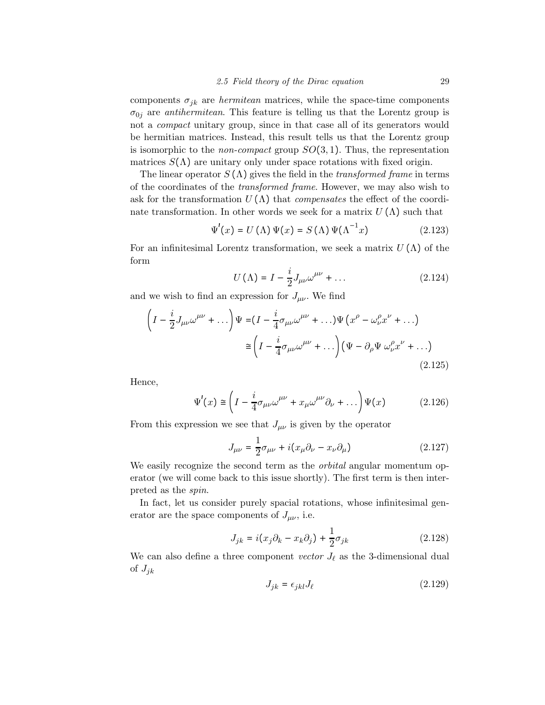components  $\sigma_{jk}$  are *hermitean* matrices, while the space-time components  $\sigma_{0j}$  are *antihermitean*. This feature is telling us that the Lorentz group is not a *compact* unitary group, since in that case all of its generators would be hermitian matrices. Instead, this result tells us that the Lorentz group is isomorphic to the *non-compact* group  $SO(3,1)$ . Thus, the representation matrices  $S(\Lambda)$  are unitary only under space rotations with fixed origin.

The linear operator  $S(\Lambda)$  gives the field in the *transformed frame* in terms of the coordinates of the transformed frame. However, we may also wish to ask for the transformation  $U(\Lambda)$  that *compensates* the effect of the coordinate transformation. In other words we seek for a matrix  $U(\Lambda)$  such that

$$
\Psi'(x) = U(\Lambda)\Psi(x) = S(\Lambda)\Psi(\Lambda^{-1}x)
$$
\n(2.123)

For an infinitesimal Lorentz transformation, we seek a matrix  $U(\Lambda)$  of the form

$$
U(\Lambda) = I - \frac{i}{2} J_{\mu\nu} \omega^{\mu\nu} + \dots \qquad (2.124)
$$

and we wish to find an expression for  $J_{\mu\nu}$ . We find

$$
\left(I - \frac{i}{2}J_{\mu\nu}\omega^{\mu\nu} + \dots\right)\Psi = (I - \frac{i}{4}\sigma_{\mu\nu}\omega^{\mu\nu} + \dots)\Psi\left(x^{\rho} - \omega_{\nu}^{\rho}x^{\nu} + \dots\right)
$$

$$
\approx \left(I - \frac{i}{4}\sigma_{\mu\nu}\omega^{\mu\nu} + \dots\right)\left(\Psi - \partial_{\rho}\Psi\omega_{\nu}^{\rho}x^{\nu} + \dots\right)
$$
(2.125)

Hence,

$$
\Psi'(x) \cong \left(I - \frac{i}{4}\sigma_{\mu\nu}\omega^{\mu\nu} + x_{\mu}\omega^{\mu\nu}\partial_{\nu} + \dots\right)\Psi(x) \tag{2.126}
$$

From this expression we see that  $J_{\mu\nu}$  is given by the operator

$$
J_{\mu\nu} = \frac{1}{2}\sigma_{\mu\nu} + i(x_{\mu}\partial_{\nu} - x_{\nu}\partial_{\mu})
$$
\n(2.127)

We easily recognize the second term as the *orbital* angular momentum operator (we will come back to this issue shortly). The first term is then interpreted as the spin.

In fact, let us consider purely spacial rotations, whose infinitesimal generator are the space components of  $J_{\mu\nu}$ , i.e.

$$
J_{jk} = i(x_j \partial_k - x_k \partial_j) + \frac{1}{2} \sigma_{jk}
$$
 (2.128)

We can also define a three component vector  $J_{\ell}$  as the 3-dimensional dual of  $J_{jk}$ 

$$
J_{jk} = \epsilon_{jkl} J_{\ell} \tag{2.129}
$$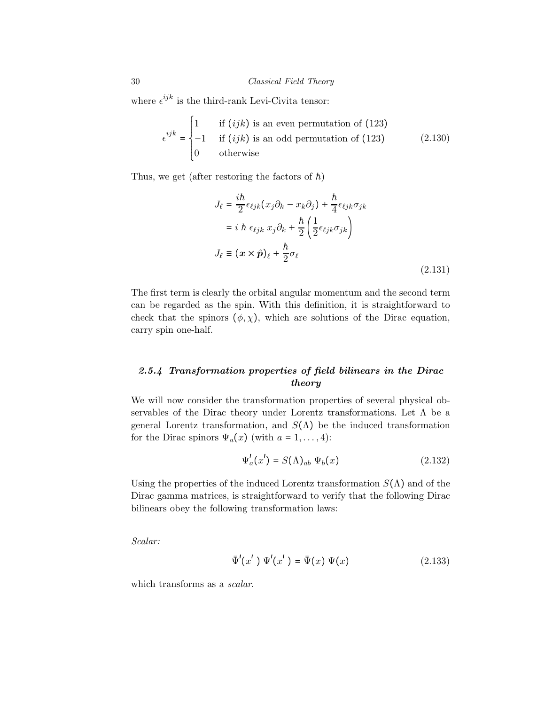where  $\epsilon^{ijk}$  is the third-rank Levi-Civita tensor:

$$
\epsilon^{ijk} = \begin{cases}\n1 & \text{if } (ijk) \text{ is an even permutation of (123)} \\
-1 & \text{if } (ijk) \text{ is an odd permutation of (123)} \\
0 & \text{otherwise}\n\end{cases}
$$
\n(2.130)

Thus, we get (after restoring the factors of  $\hbar$ )

$$
J_{\ell} = \frac{i\hbar}{2} \epsilon_{\ell j k} (x_j \partial_k - x_k \partial_j) + \frac{\hbar}{4} \epsilon_{\ell j k} \sigma_{jk}
$$
  

$$
= i \hbar \epsilon_{\ell j k} x_j \partial_k + \frac{\hbar}{2} \left( \frac{1}{2} \epsilon_{\ell j k} \sigma_{jk} \right)
$$
  

$$
J_{\ell} \equiv (\mathbf{x} \times \hat{\mathbf{p}})_{\ell} + \frac{\hbar}{2} \sigma_{\ell}
$$
 (2.131)

The first term is clearly the orbital angular momentum and the second term can be regarded as the spin. With this definition, it is straightforward to check that the spinors  $(\phi, \chi)$ , which are solutions of the Dirac equation, carry spin one-half.

## 2.5.4 Transformation properties of field bilinears in the Dirac theory

We will now consider the transformation properties of several physical observables of the Dirac theory under Lorentz transformations. Let  $\Lambda$  be a general Lorentz transformation, and  $S(\Lambda)$  be the induced transformation for the Dirac spinors  $\Psi_a(x)$  (with  $a = 1, \ldots, 4$ ):

$$
\Psi_a^l(x') = S(\Lambda)_{ab} \Psi_b(x) \tag{2.132}
$$

Using the properties of the induced Lorentz transformation  $S(\Lambda)$  and of the Dirac gamma matrices, is straightforward to verify that the following Dirac bilinears obey the following transformation laws:

Scalar:

$$
\bar{\Psi}'(x') \Psi'(x') = \bar{\Psi}(x) \Psi(x) \tag{2.133}
$$

which transforms as a *scalar*.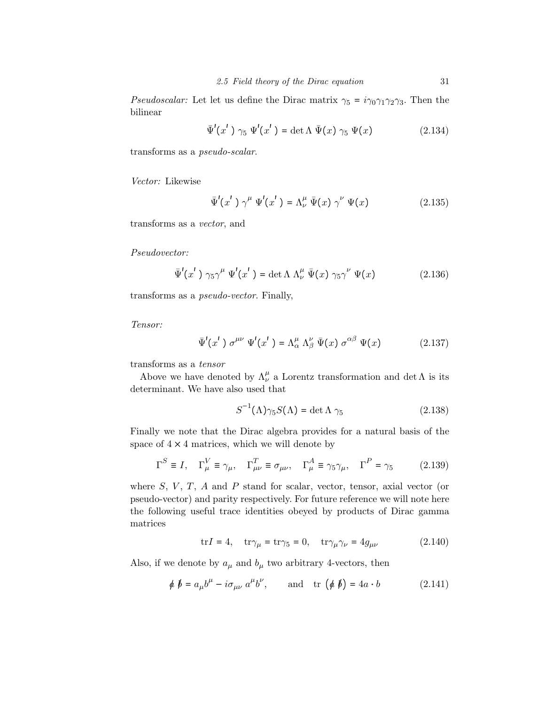*Pseudoscalar:* Let let us define the Dirac matrix  $\gamma_5 = i\gamma_0\gamma_1\gamma_2\gamma_3$ . Then the bilinear

$$
\bar{\Psi}'(x')\gamma_5 \Psi'(x') = \det \Lambda \bar{\Psi}(x)\gamma_5 \Psi(x) \qquad (2.134)
$$

transforms as a pseudo-scalar.

Vector: Likewise

$$
\bar{\Psi}'(x')\gamma^{\mu}\Psi'(x') = \Lambda^{\mu}_{\nu}\bar{\Psi}(x)\gamma^{\nu}\Psi(x)
$$
\n(2.135)

transforms as a vector, and

Pseudovector:

$$
\bar{\Psi}'(x')\gamma_5\gamma^{\mu}\Psi'(x') = \det\Lambda \Lambda^{\mu}_{\nu}\bar{\Psi}(x)\gamma_5\gamma^{\nu}\Psi(x)
$$
 (2.136)

transforms as a pseudo-vector. Finally,

Tensor:

$$
\bar{\Psi}'(x') \sigma^{\mu\nu} \Psi'(x') = \Lambda^{\mu}_{\alpha} \Lambda^{\nu}_{\beta} \bar{\Psi}(x) \sigma^{\alpha\beta} \Psi(x)
$$
 (2.137)

transforms as a tensor

Above we have denoted by  $\Lambda^{\mu}_{\nu}$  a Lorentz transformation and det  $\Lambda$  is its determinant. We have also used that

$$
S^{-1}(\Lambda)\gamma_5 S(\Lambda) = \det \Lambda \gamma_5 \tag{2.138}
$$

Finally we note that the Dirac algebra provides for a natural basis of the space of  $4 \times 4$  matrices, which we will denote by

$$
\Gamma^S \equiv I, \quad \Gamma^V_\mu \equiv \gamma_\mu, \quad \Gamma^T_{\mu\nu} \equiv \sigma_{\mu\nu}, \quad \Gamma^A_\mu \equiv \gamma_5 \gamma_\mu, \quad \Gamma^P = \gamma_5 \tag{2.139}
$$

where  $S, V, T, A$  and  $P$  stand for scalar, vector, tensor, axial vector (or pseudo-vector) and parity respectively. For future reference we will note here the following useful trace identities obeyed by products of Dirac gamma matrices

$$
\text{tr}I = 4, \quad \text{tr}\gamma_{\mu} = \text{tr}\gamma_{5} = 0, \quad \text{tr}\gamma_{\mu}\gamma_{\nu} = 4g_{\mu\nu} \tag{2.140}
$$

Also, if we denote by  $a_\mu$  and  $b_\mu$  two arbitrary 4-vectors, then

$$
\phi \not b = a_{\mu}b^{\mu} - i\sigma_{\mu\nu} a^{\mu}b^{\nu}, \quad \text{and} \quad \text{tr} \left(\phi \not b\right) = 4a \cdot b \tag{2.141}
$$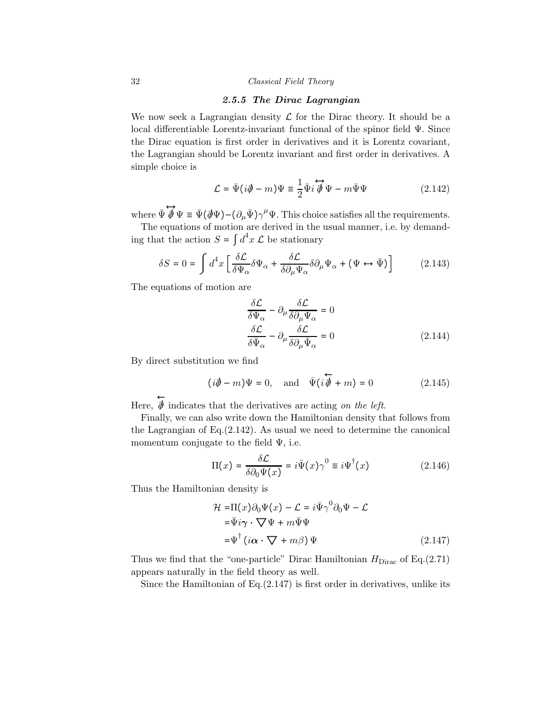## 2.5.5 The Dirac Lagrangian

We now seek a Lagrangian density  $\mathcal L$  for the Dirac theory. It should be a local differentiable Lorentz-invariant functional of the spinor field Ψ. Since the Dirac equation is first order in derivatives and it is Lorentz covariant, the Lagrangian should be Lorentz invariant and first order in derivatives. A simple choice is

$$
\mathcal{L} = \bar{\Psi}(i\partial \!\!\!/- m)\Psi \equiv \frac{1}{2}\bar{\Psi}i\overleftrightarrow{\partial}\Psi - m\bar{\Psi}\Psi \qquad (2.142)
$$

where  $\overrightarrow{\Psi} \overrightarrow{\Psi} \Psi = \overrightarrow{\Psi} (\overrightarrow{\Psi} \Psi) - (\partial_{\mu} \overrightarrow{\Psi}) \gamma^{\mu} \Psi$ . This choice satisfies all the requirements.

The equations of motion are derived in the usual manner, i.e. by demanding that the action  $S = \int d^4x \mathcal{L}$  be stationary

$$
\delta S = 0 = \int d^4x \left[ \frac{\delta \mathcal{L}}{\delta \Psi_\alpha} \delta \Psi_\alpha + \frac{\delta \mathcal{L}}{\delta \partial_\mu \Psi_\alpha} \delta \partial_\mu \Psi_\alpha + (\Psi \leftrightarrow \bar{\Psi}) \right]
$$
(2.143)

The equations of motion are

$$
\frac{\delta \mathcal{L}}{\delta \Psi_{\alpha}} - \partial_{\mu} \frac{\delta \mathcal{L}}{\delta \partial_{\mu} \Psi_{\alpha}} = 0
$$
  

$$
\frac{\delta \mathcal{L}}{\delta \bar{\Psi}_{\alpha}} - \partial_{\mu} \frac{\delta \mathcal{L}}{\delta \partial_{\mu} \bar{\Psi}_{\alpha}} = 0
$$
 (2.144)

By direct substitution we find

$$
(i\partial \!\!\!/ - m)\Psi = 0
$$
, and  $\bar{\Psi}(i\overline{\partial} + m) = 0$  (2.145)

Here,  $\overleftarrow{\phi}$  indicates that the derivatives are acting *on the left*.

Finally, we can also write down the Hamiltonian density that follows from the Lagrangian of Eq.(2.142). As usual we need to determine the canonical momentum conjugate to the field  $\Psi$ , i.e.

$$
\Pi(x) = \frac{\delta \mathcal{L}}{\delta \partial_0 \Psi(x)} = i \bar{\Psi}(x) \gamma^0 \equiv i \Psi^{\dagger}(x)
$$
 (2.146)

Thus the Hamiltonian density is

$$
\mathcal{H} = \Pi(x)\partial_0\Psi(x) - \mathcal{L} = i\bar{\Psi}\gamma^0\partial_0\Psi - \mathcal{L}
$$
  
\n
$$
= \bar{\Psi}i\gamma \cdot \nabla\Psi + m\bar{\Psi}\Psi
$$
  
\n
$$
= \Psi^{\dagger} (i\alpha \cdot \nabla + m\beta) \Psi
$$
 (2.147)

Thus we find that the "one-particle" Dirac Hamiltonian  $H_{\text{Dirac}}$  of Eq.(2.71) appears naturally in the field theory as well.

Since the Hamiltonian of Eq.(2.147) is first order in derivatives, unlike its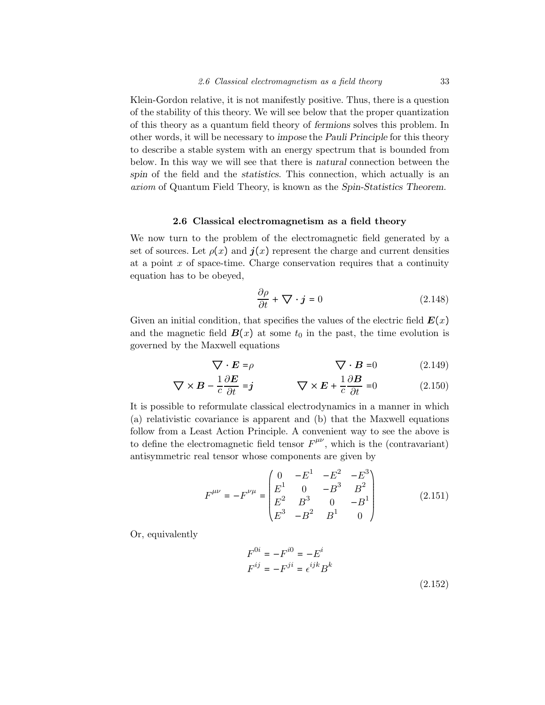Klein-Gordon relative, it is not manifestly positive. Thus, there is a question of the stability of this theory. We will see below that the proper quantization of this theory as a quantum field theory of fermions solves this problem. In other words, it will be necessary to impose the Pauli Principle for this theory to describe a stable system with an energy spectrum that is bounded from below. In this way we will see that there is natural connection between the spin of the field and the *statistics*. This connection, which actually is an axiom of Quantum Field Theory, is known as the Spin-Statistics Theorem.

## 2.6 Classical electromagnetism as a field theory

We now turn to the problem of the electromagnetic field generated by a set of sources. Let  $\rho(x)$  and  $\boldsymbol{j}(x)$  represent the charge and current densities at a point  $x$  of space-time. Charge conservation requires that a continuity equation has to be obeyed,

$$
\frac{\partial \rho}{\partial t} + \nabla \cdot \mathbf{j} = 0 \tag{2.148}
$$

Given an initial condition, that specifies the values of the electric field  $E(x)$ and the magnetic field  $\mathbf{B}(x)$  at some  $t_0$  in the past, the time evolution is governed by the Maxwell equations

$$
\nabla \cdot \mathbf{E} = \rho \qquad \qquad \nabla \cdot \mathbf{B} = 0 \qquad (2.149)
$$

$$
\nabla \times \mathbf{B} - \frac{1}{c} \frac{\partial \mathbf{E}}{\partial t} = \mathbf{j} \qquad \nabla \times \mathbf{E} + \frac{1}{c} \frac{\partial \mathbf{B}}{\partial t} = 0 \qquad (2.150)
$$

It is possible to reformulate classical electrodynamics in a manner in which (a) relativistic covariance is apparent and (b) that the Maxwell equations follow from a Least Action Principle. A convenient way to see the above is to define the electromagnetic field tensor  $F^{\mu\nu}$ , which is the (contravariant) antisymmetric real tensor whose components are given by

$$
F^{\mu\nu} = -F^{\nu\mu} = \begin{pmatrix} 0 & -E^1 & -E^2 & -E^3 \\ E^1 & 0 & -B^3 & B^2 \\ E^2 & B^3 & 0 & -B^1 \\ E^3 & -B^2 & B^1 & 0 \end{pmatrix}
$$
 (2.151)

Or, equivalently

$$
F^{0i} = -F^{i0} = -E^i
$$
  
\n
$$
F^{ij} = -F^{ji} = \epsilon^{ijk} B^k
$$
  
\n(2.152)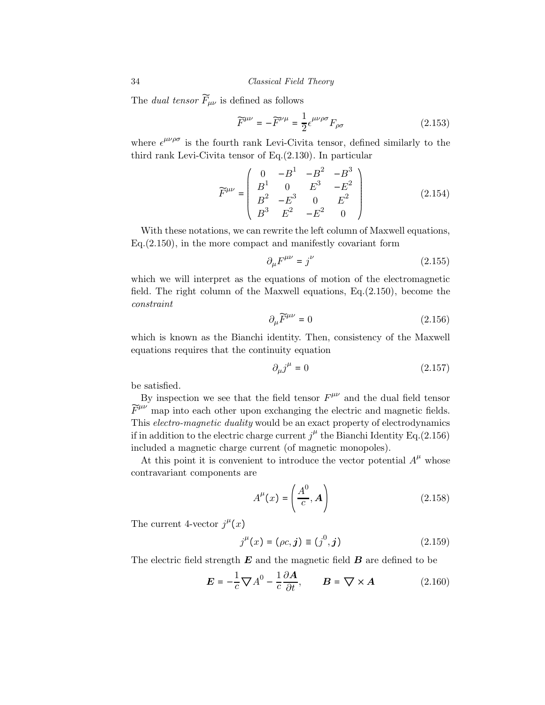The *dual tensor*  $F_{\mu\nu}$  is defined as follows

$$
\widetilde{F}^{\mu\nu} = -\widetilde{F}^{\nu\mu} = \frac{1}{2} \epsilon^{\mu\nu\rho\sigma} F_{\rho\sigma} \tag{2.153}
$$

where  $\epsilon^{\mu\nu\rho\sigma}$  is the fourth rank Levi-Civita tensor, defined similarly to the third rank Levi-Civita tensor of Eq.(2.130). In particular

$$
\widetilde{F}^{\mu\nu} = \begin{pmatrix}\n0 & -B^1 & -B^2 & -B^3 \\
B^1 & 0 & E^3 & -E^2 \\
B^2 & -E^3 & 0 & E^2 \\
B^3 & E^2 & -E^2 & 0\n\end{pmatrix}
$$
\n(2.154)

With these notations, we can rewrite the left column of Maxwell equations, Eq.(2.150), in the more compact and manifestly covariant form

$$
\partial_{\mu}F^{\mu\nu} = j^{\nu} \tag{2.155}
$$

which we will interpret as the equations of motion of the electromagnetic field. The right column of the Maxwell equations,  $Eq.(2.150)$ , become the  $constraint$ 

$$
\partial_{\mu}\widetilde{F}^{\mu\nu} = 0 \tag{2.156}
$$

which is known as the Bianchi identity. Then, consistency of the Maxwell equations requires that the continuity equation

$$
\partial_{\mu}j^{\mu} = 0 \tag{2.157}
$$

be satisfied.

By inspection we see that the field tensor  $F^{\mu\nu}$  and the dual field tensor  $\widetilde{F}^{\mu\nu}$  map into each other upon exchanging the electric and magnetic fields. This *electro-magnetic duality* would be an exact property of electrodynamics if in addition to the electric charge current  $j^{\mu}$  the Bianchi Identity Eq.(2.156) included a magnetic charge current (of magnetic monopoles).

At this point it is convenient to introduce the vector potential  $A^{\mu}$  whose contravariant components are

$$
A^{\mu}(x) = \left(\frac{A^0}{c}, A\right) \tag{2.158}
$$

The current 4-vector  $j^{\mu}(x)$ 

$$
j^{\mu}(x) = (\rho c, j) \equiv (j^0, j)
$$
 (2.159)

The electric field strength  $E$  and the magnetic field  $B$  are defined to be

$$
\mathbf{E} = -\frac{1}{c}\nabla A^0 - \frac{1}{c}\frac{\partial \mathbf{A}}{\partial t}, \qquad \mathbf{B} = \nabla \times \mathbf{A}
$$
 (2.160)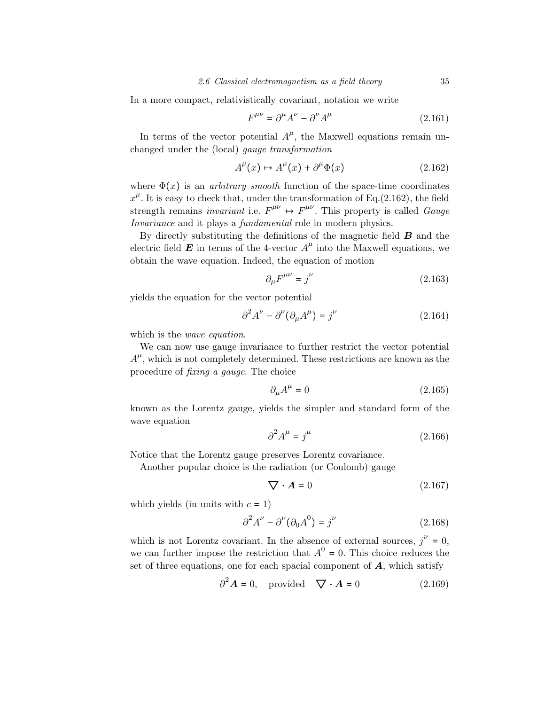In a more compact, relativistically covariant, notation we write

$$
F^{\mu\nu} = \partial^{\mu} A^{\nu} - \partial^{\nu} A^{\mu} \tag{2.161}
$$

In terms of the vector potential  $A^{\mu}$ , the Maxwell equations remain unchanged under the (local) gauge transformation

$$
A^{\mu}(x) \mapsto A^{\mu}(x) + \partial^{\mu}\Phi(x) \tag{2.162}
$$

where  $\Phi(x)$  is an *arbitrary smooth* function of the space-time coordinates  $x^{\mu}$ . It is easy to check that, under the transformation of Eq.(2.162), the field strength remains *invariant* i.e.  $F^{\mu\nu} \mapsto F^{\mu\nu}$ . This property is called *Gauge* Invariance and it plays a *fundamental* role in modern physics.

By directly substituting the definitions of the magnetic field  $\bm{B}$  and the electric field  $\boldsymbol{E}$  in terms of the 4-vector  $A^{\mu}$  into the Maxwell equations, we obtain the wave equation. Indeed, the equation of motion

$$
\partial_{\mu}F^{\mu\nu} = j^{\nu} \tag{2.163}
$$

yields the equation for the vector potential

$$
\partial^2 A^{\nu} - \partial^{\nu} (\partial_{\mu} A^{\mu}) = j^{\nu}
$$
 (2.164)

which is the *wave equation*.

We can now use gauge invariance to further restrict the vector potential  $A^{\mu}$ , which is not completely determined. These restrictions are known as the procedure of fixing a gauge. The choice

$$
\partial_{\mu}A^{\mu} = 0 \tag{2.165}
$$

known as the Lorentz gauge, yields the simpler and standard form of the wave equation

$$
\partial^2 A^\mu = j^\mu \tag{2.166}
$$

Notice that the Lorentz gauge preserves Lorentz covariance.

Another popular choice is the radiation (or Coulomb) gauge

$$
\nabla \cdot \mathbf{A} = 0 \tag{2.167}
$$

which yields (in units with  $c = 1$ )

$$
\partial^2 A^\nu - \partial^\nu (\partial_0 A^0) = j^\nu \tag{2.168}
$$

which is not Lorentz covariant. In the absence of external sources,  $j^{\nu} = 0$ , we can further impose the restriction that  $A^0 = 0$ . This choice reduces the set of three equations, one for each spacial component of  $\boldsymbol{A}$ , which satisfy

$$
\partial^2 \mathbf{A} = 0, \quad \text{provided} \quad \nabla \cdot \mathbf{A} = 0 \tag{2.169}
$$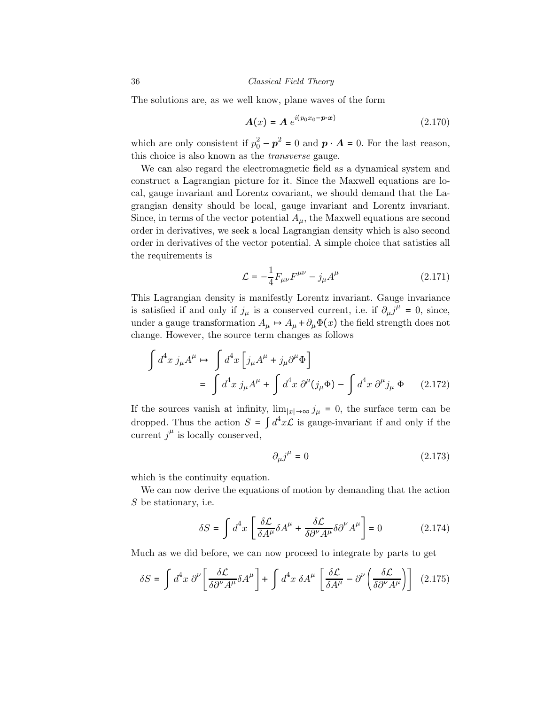The solutions are, as we well know, plane waves of the form

$$
\mathbf{A}(x) = \mathbf{A} e^{i(p_0 x_0 - \mathbf{p} \cdot x)} \tag{2.170}
$$

which are only consistent if  $p_0^2 - p^2 = 0$  and  $p \cdot A = 0$ . For the last reason, this choice is also known as the transverse gauge.

We can also regard the electromagnetic field as a dynamical system and construct a Lagrangian picture for it. Since the Maxwell equations are local, gauge invariant and Lorentz covariant, we should demand that the Lagrangian density should be local, gauge invariant and Lorentz invariant. Since, in terms of the vector potential  $A_{\mu}$ , the Maxwell equations are second order in derivatives, we seek a local Lagrangian density which is also second order in derivatives of the vector potential. A simple choice that satisties all the requirements is

$$
\mathcal{L} = -\frac{1}{4} F_{\mu\nu} F^{\mu\nu} - j_{\mu} A^{\mu} \tag{2.171}
$$

This Lagrangian density is manifestly Lorentz invariant. Gauge invariance is satisfied if and only if  $j_{\mu}$  is a conserved current, i.e. if  $\partial_{\mu}j^{\mu} = 0$ , since, under a gauge transformation  $A_\mu \mapsto A_\mu + \partial_\mu \Phi(x)$  the field strength does not change. However, the source term changes as follows

$$
\int d^4x \, j_\mu A^\mu \mapsto \int d^4x \left[ j_\mu A^\mu + j_\mu \partial^\mu \Phi \right]
$$
  
= 
$$
\int d^4x \, j_\mu A^\mu + \int d^4x \, \partial^\mu (j_\mu \Phi) - \int d^4x \, \partial^\mu j_\mu \Phi
$$
 (2.172)

If the sources vanish at infinity,  $\lim_{|x|\to\infty} j_\mu = 0$ , the surface term can be dropped. Thus the action  $S = \int d^4x \mathcal{L}$  is gauge-invariant if and only if the current  $j^{\mu}$  is locally conserved,

$$
\partial_{\mu}j^{\mu} = 0 \tag{2.173}
$$

which is the continuity equation.

We can now derive the equations of motion by demanding that the action S be stationary, i.e.

$$
\delta S = \int d^4x \left[ \frac{\delta \mathcal{L}}{\delta A^{\mu}} \delta A^{\mu} + \frac{\delta \mathcal{L}}{\delta \partial^{\nu} A^{\mu}} \delta \partial^{\nu} A^{\mu} \right] = 0 \tag{2.174}
$$

Much as we did before, we can now proceed to integrate by parts to get

$$
\delta S = \int d^4x \ \partial^{\nu} \left[ \frac{\delta \mathcal{L}}{\delta \partial^{\nu} A^{\mu}} \delta A^{\mu} \right] + \int d^4x \ \delta A^{\mu} \left[ \frac{\delta \mathcal{L}}{\delta A^{\mu}} - \partial^{\nu} \left( \frac{\delta \mathcal{L}}{\delta \partial^{\nu} A^{\mu}} \right) \right] \tag{2.175}
$$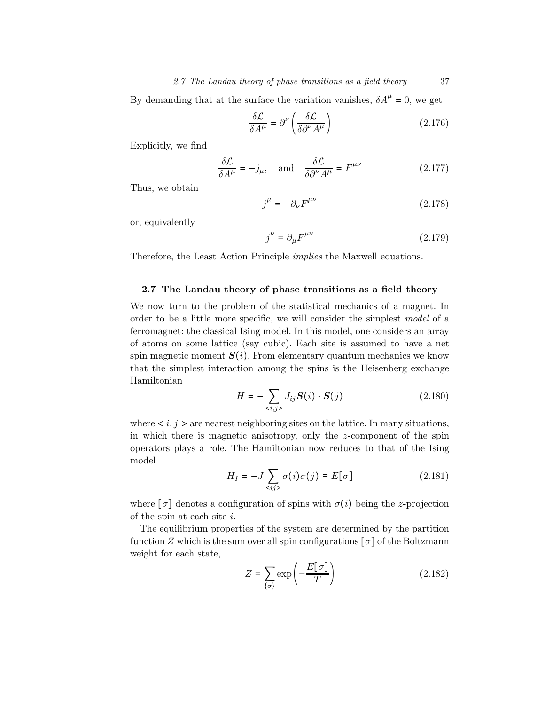By demanding that at the surface the variation vanishes,  $\delta A^{\mu} = 0$ , we get

$$
\frac{\delta \mathcal{L}}{\delta A^{\mu}} = \partial^{\nu} \left( \frac{\delta \mathcal{L}}{\delta \partial^{\nu} A^{\mu}} \right)
$$
 (2.176)

Explicitly, we find

$$
\frac{\delta \mathcal{L}}{\delta A^{\mu}} = -j_{\mu}, \text{ and } \frac{\delta \mathcal{L}}{\delta \partial^{\nu} A^{\mu}} = F^{\mu \nu}
$$
 (2.177)

Thus, we obtain

$$
j^{\mu} = -\partial_{\nu} F^{\mu\nu} \tag{2.178}
$$

or, equivalently

$$
j^{\nu} = \partial_{\mu} F^{\mu\nu} \tag{2.179}
$$

Therefore, the Least Action Principle implies the Maxwell equations.

## 2.7 The Landau theory of phase transitions as a field theory

We now turn to the problem of the statistical mechanics of a magnet. In order to be a little more specific, we will consider the simplest model of a ferromagnet: the classical Ising model. In this model, one considers an array of atoms on some lattice (say cubic). Each site is assumed to have a net spin magnetic moment  $S(i)$ . From elementary quantum mechanics we know that the simplest interaction among the spins is the Heisenberg exchange Hamiltonian

$$
H = -\sum_{\langle i,j \rangle} J_{ij} \mathbf{S}(i) \cdot \mathbf{S}(j) \tag{2.180}
$$

where  $\lt i, j \gt 1$  are nearest neighboring sites on the lattice. In many situations, in which there is magnetic anisotropy, only the z-component of the spin operators plays a role. The Hamiltonian now reduces to that of the Ising model

$$
H_I = -J \sum_{\langle ij \rangle} \sigma(i)\sigma(j) \equiv E[\sigma]
$$
 (2.181)

where  $[\sigma]$  denotes a configuration of spins with  $\sigma(i)$  being the z-projection of the spin at each site i.

The equilibrium properties of the system are determined by the partition function Z which is the sum over all spin configurations  $\lceil \sigma \rceil$  of the Boltzmann weight for each state,

$$
Z = \sum_{\{\sigma\}} \exp\left(-\frac{E[\sigma]}{T}\right) \tag{2.182}
$$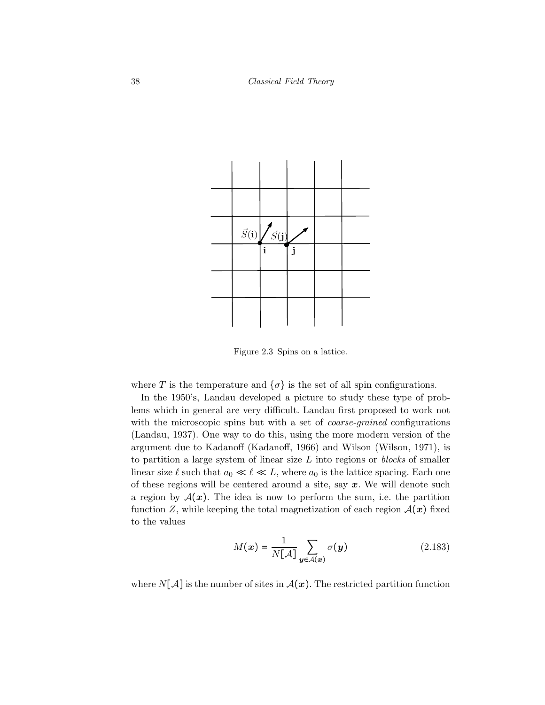

Figure 2.3 Spins on a lattice.

where T is the temperature and  $\{\sigma\}$  is the set of all spin configurations.

In the 1950's, Landau developed a picture to study these type of problems which in general are very difficult. Landau first proposed to work not with the microscopic spins but with a set of *coarse-grained* configurations (Landau, 1937). One way to do this, using the more modern version of the argument due to Kadanoff (Kadanoff, 1966) and Wilson (Wilson, 1971), is to partition a large system of linear size  $L$  into regions or *blocks* of smaller linear size  $\ell$  such that  $a_0 \ll \ell \ll L$ , where  $a_0$  is the lattice spacing. Each one of these regions will be centered around a site, say  $x$ . We will denote such a region by  $A(x)$ . The idea is now to perform the sum, i.e. the partition function Z, while keeping the total magnetization of each region  $\mathcal{A}(x)$  fixed to the values

$$
M(\boldsymbol{x}) = \frac{1}{N[\mathcal{A}]} \sum_{\boldsymbol{y} \in \mathcal{A}(\boldsymbol{x})} \sigma(\boldsymbol{y})
$$
 (2.183)

where  $N[\mathcal{A}]$  is the number of sites in  $\mathcal{A}(x)$ . The restricted partition function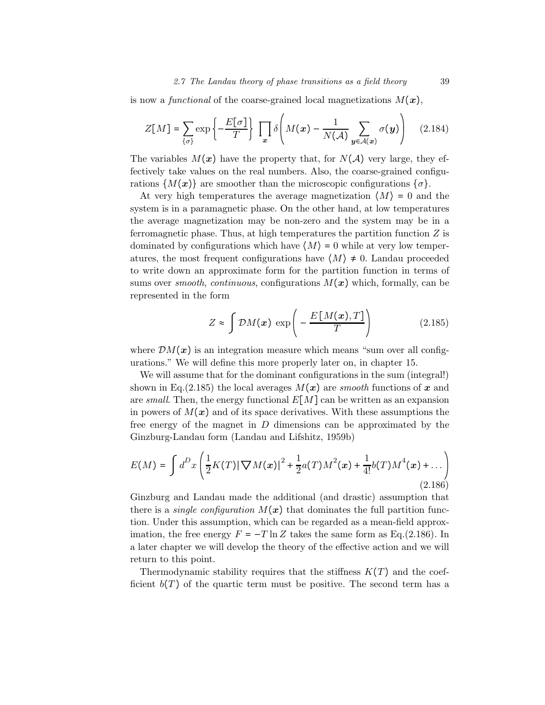#### 2.7 The Landau theory of phase transitions as a field theory 39

is now a functional of the coarse-grained local magnetizations  $M(x)$ ,

$$
Z[M] = \sum_{\{\sigma\}} \exp\left\{-\frac{E[\sigma]}{T}\right\} \prod_{x} \delta\left(M(x) - \frac{1}{N(\mathcal{A})} \sum_{y \in \mathcal{A}(x)} \sigma(y)\right) \quad (2.184)
$$

The variables  $M(x)$  have the property that, for  $N(\mathcal{A})$  very large, they effectively take values on the real numbers. Also, the coarse-grained configurations  $\{M(x)\}\$ are smoother than the microscopic configurations  $\{\sigma\}.$ 

At very high temperatures the average magnetization  $\langle M \rangle = 0$  and the system is in a paramagnetic phase. On the other hand, at low temperatures the average magnetization may be non-zero and the system may be in a ferromagnetic phase. Thus, at high temperatures the partition function  $Z$  is dominated by configurations which have  $\langle M \rangle = 0$  while at very low temperatures, the most frequent configurations have  $\langle M \rangle \neq 0$ . Landau proceeded to write down an approximate form for the partition function in terms of sums over *smooth, continuous, configurations*  $M(x)$  which, formally, can be represented in the form

$$
Z \approx \int \mathcal{D}M(x) \, \exp\left(-\frac{E\left[M(x),T\right]}{T}\right) \tag{2.185}
$$

where  $\mathcal{D}M(x)$  is an integration measure which means "sum over all configurations." We will define this more properly later on, in chapter 15.

We will assume that for the dominant configurations in the sum (integral!) shown in Eq.(2.185) the local averages  $M(x)$  are smooth functions of x and are small. Then, the energy functional  $E[M]$  can be written as an expansion in powers of  $M(x)$  and of its space derivatives. With these assumptions the free energy of the magnet in D dimensions can be approximated by the Ginzburg-Landau form (Landau and Lifshitz, 1959b)

$$
E(M) = \int d^D x \left( \frac{1}{2} K(T) |\nabla M(x)|^2 + \frac{1}{2} a(T) M^2(x) + \frac{1}{4!} b(T) M^4(x) + \dots \right)
$$
\n(2.186)

Ginzburg and Landau made the additional (and drastic) assumption that there is a *single configuration*  $M(x)$  that dominates the full partition function. Under this assumption, which can be regarded as a mean-field approximation, the free energy  $F = -T \ln Z$  takes the same form as Eq.(2.186). In a later chapter we will develop the theory of the effective action and we will return to this point.

Thermodynamic stability requires that the stiffness  $K(T)$  and the coefficient  $b(T)$  of the quartic term must be positive. The second term has a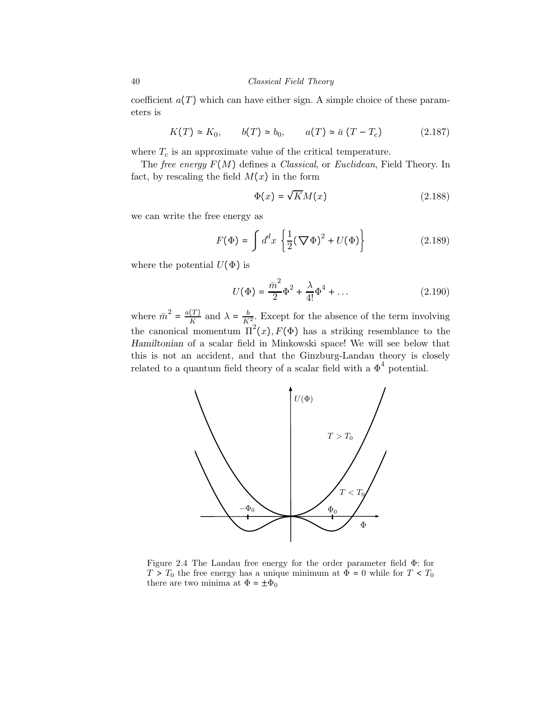coefficient  $a(T)$  which can have either sign. A simple choice of these parameters is

$$
K(T) \simeq K_0, \qquad b(T) \simeq b_0, \qquad a(T) \simeq \bar{a} (T - T_c) \tag{2.187}
$$

where  $T_c$  is an approximate value of the critical temperature.

The free energy  $F(M)$  defines a Classical, or Euclidean, Field Theory. In fact, by rescaling the field  $M(x)$  in the form

$$
\Phi(x) = \sqrt{K}M(x) \tag{2.188}
$$

we can write the free energy as

$$
F(\Phi) = \int d^d x \left\{ \frac{1}{2} (\nabla \Phi)^2 + U(\Phi) \right\} \tag{2.189}
$$

where the potential  $U(\Phi)$  is

$$
U(\Phi) = \frac{\bar{m}^2}{2} \Phi^2 + \frac{\lambda}{4!} \Phi^4 + \dots \tag{2.190}
$$

where  $\bar{m}^2 = \frac{a(T)}{K}$  and  $\lambda = \frac{b}{K^2}$ . Except for the absence of the term involving the canonical momentum  $\Pi^2(x)$ ,  $F(\Phi)$  has a striking resemblance to the Hamiltonian of a scalar field in Minkowski space! We will see below that this is not an accident, and that the Ginzburg-Landau theory is closely related to a quantum field theory of a scalar field with a  $\Phi^4$  potential.



Figure 2.4 The Landau free energy for the order parameter field Φ: for  $T > T_0$  the free energy has a unique minimum at  $\Phi = 0$  while for  $T < T_0$ there are two minima at  $\Phi = \pm \Phi_0$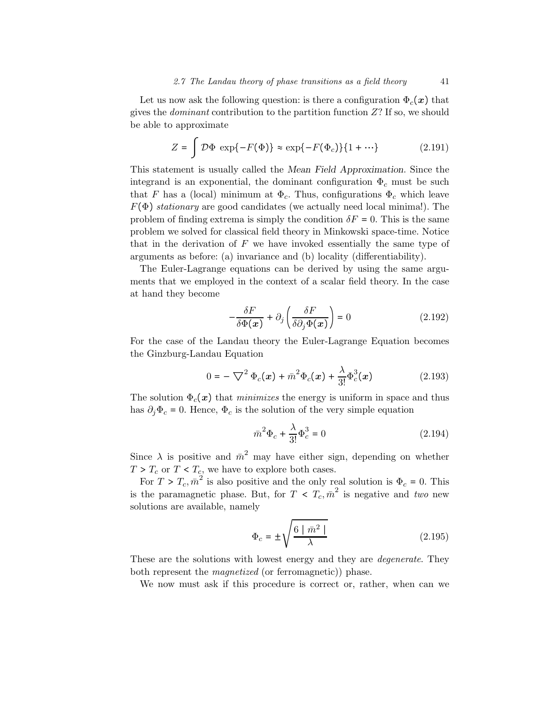Let us now ask the following question: is there a configuration  $\Phi_c(x)$  that gives the *dominant* contribution to the partition function  $Z$ ? If so, we should be able to approximate

$$
Z = \int \mathcal{D}\Phi \, \exp\{-F(\Phi)\} \approx \exp\{-F(\Phi_c)\}\{1 + \cdots\} \tag{2.191}
$$

This statement is usually called the Mean Field Approximation. Since the integrand is an exponential, the dominant configuration  $\Phi_c$  must be such that F has a (local) minimum at  $\Phi_c$ . Thus, configurations  $\Phi_c$  which leave  $F(\Phi)$  stationary are good candidates (we actually need local minima!). The problem of finding extrema is simply the condition  $\delta F = 0$ . This is the same problem we solved for classical field theory in Minkowski space-time. Notice that in the derivation of  $F$  we have invoked essentially the same type of arguments as before: (a) invariance and (b) locality (differentiability).

The Euler-Lagrange equations can be derived by using the same arguments that we employed in the context of a scalar field theory. In the case at hand they become

$$
-\frac{\delta F}{\delta \Phi(x)} + \partial_j \left( \frac{\delta F}{\delta \partial_j \Phi(x)} \right) = 0 \tag{2.192}
$$

For the case of the Landau theory the Euler-Lagrange Equation becomes the Ginzburg-Landau Equation

$$
0 = -\nabla^2 \Phi_c(\mathbf{x}) + \bar{m}^2 \Phi_c(\mathbf{x}) + \frac{\lambda}{3!} \Phi_c^3(\mathbf{x})
$$
 (2.193)

The solution  $\Phi_c(x)$  that *minimizes* the energy is uniform in space and thus has  $\partial_i \Phi_c = 0$ . Hence,  $\Phi_c$  is the solution of the very simple equation

$$
\bar{m}^2 \Phi_c + \frac{\lambda}{3!} \Phi_c^3 = 0 \tag{2.194}
$$

Since  $\lambda$  is positive and  $\bar{m}^2$  may have either sign, depending on whether  $T > T_c$  or  $T < T_c$ , we have to explore both cases.

For  $T > T_c$ ,  $\bar{m}^2$  is also positive and the only real solution is  $\Phi_c = 0$ . This is the paramagnetic phase. But, for  $T < T_c$ ,  $\overline{n}^2$  is negative and two new solutions are available, namely

$$
\Phi_c = \pm \sqrt{\frac{6 \mid \bar{m}^2 \mid}{\lambda}}
$$
\n(2.195)

These are the solutions with lowest energy and they are degenerate. They both represent the *magnetized* (or ferromagnetic)) phase.

We now must ask if this procedure is correct or, rather, when can we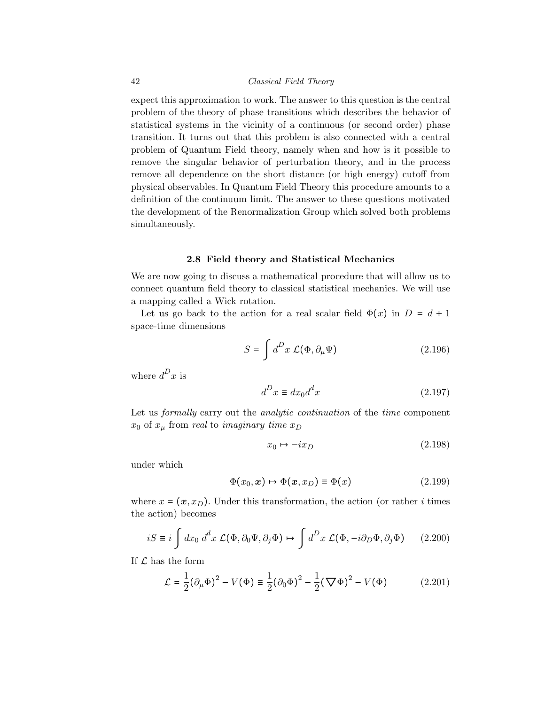expect this approximation to work. The answer to this question is the central problem of the theory of phase transitions which describes the behavior of statistical systems in the vicinity of a continuous (or second order) phase transition. It turns out that this problem is also connected with a central problem of Quantum Field theory, namely when and how is it possible to remove the singular behavior of perturbation theory, and in the process remove all dependence on the short distance (or high energy) cutoff from physical observables. In Quantum Field Theory this procedure amounts to a definition of the continuum limit. The answer to these questions motivated the development of the Renormalization Group which solved both problems simultaneously.

## 2.8 Field theory and Statistical Mechanics

We are now going to discuss a mathematical procedure that will allow us to connect quantum field theory to classical statistical mechanics. We will use a mapping called a Wick rotation.

Let us go back to the action for a real scalar field  $\Phi(x)$  in  $D = d + 1$ space-time dimensions

$$
S = \int d^D x \mathcal{L}(\Phi, \partial_\mu \Psi) \tag{2.196}
$$

where  $d^D x$  is

$$
d^D x \equiv dx_0 d^d x \tag{2.197}
$$

Let us *formally* carry out the *analytic continuation* of the *time* component  $x_0$  of  $x_\mu$  from real to imaginary time  $x_D$ 

$$
x_0 \mapsto -ix_D \tag{2.198}
$$

under which

$$
\Phi(x_0, x) \mapsto \Phi(x, x_D) \equiv \Phi(x) \tag{2.199}
$$

where  $x = (x, x_D)$ . Under this transformation, the action (or rather *i* times the action) becomes

$$
iS \equiv i \int dx_0 \, d^d x \, \mathcal{L}(\Phi, \partial_0 \Psi, \partial_j \Phi) \mapsto \int d^D x \, \mathcal{L}(\Phi, -i\partial_D \Phi, \partial_j \Phi) \qquad (2.200)
$$

If  $\mathcal L$  has the form

$$
\mathcal{L} = \frac{1}{2} (\partial_{\mu} \Phi)^{2} - V(\Phi) \equiv \frac{1}{2} (\partial_{0} \Phi)^{2} - \frac{1}{2} (\nabla \Phi)^{2} - V(\Phi)
$$
 (2.201)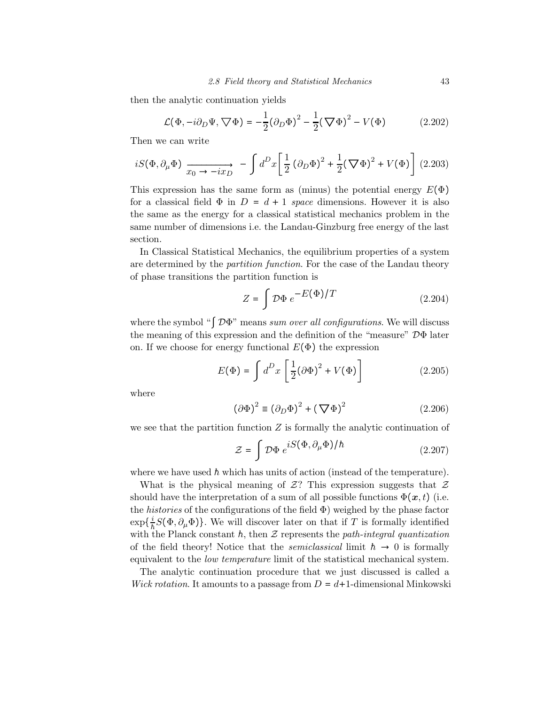then the analytic continuation yields

$$
\mathcal{L}(\Phi, -i\partial_D\Psi, \nabla\Phi) = -\frac{1}{2} (\partial_D\Phi)^2 - \frac{1}{2} (\nabla\Phi)^2 - V(\Phi)
$$
 (2.202)

Then we can write

$$
iS(\Phi, \partial_{\mu}\Phi) \xrightarrow[x_0 \to -ix_D]{} - \int d^D x \left[ \frac{1}{2} \left( \partial_D \Phi \right)^2 + \frac{1}{2} \left( \nabla \Phi \right)^2 + V(\Phi) \right] (2.203)
$$

This expression has the same form as (minus) the potential energy  $E(\Phi)$ for a classical field  $\Phi$  in  $D = d + 1$  space dimensions. However it is also the same as the energy for a classical statistical mechanics problem in the same number of dimensions i.e. the Landau-Ginzburg free energy of the last section.

In Classical Statistical Mechanics, the equilibrium properties of a system are determined by the *partition function*. For the case of the Landau theory of phase transitions the partition function is

$$
Z = \int \mathcal{D}\Phi \ e^{-E(\Phi)/T} \tag{2.204}
$$

where the symbol " $\int \mathcal{D}\Phi$ " means sum over all configurations. We will discuss the meaning of this expression and the definition of the "measure" DΦ later on. If we choose for energy functional  $E(\Phi)$  the expression

$$
E(\Phi) = \int d^D x \left[ \frac{1}{2} (\partial \Phi)^2 + V(\Phi) \right]
$$
 (2.205)

where

$$
(\partial \Phi)^2 \equiv (\partial_D \Phi)^2 + (\nabla \Phi)^2 \tag{2.206}
$$

we see that the partition function  $Z$  is formally the analytic continuation of

$$
\mathcal{Z} = \int \mathcal{D}\Phi \ e^{iS(\Phi, \partial_{\mu}\Phi)/\hbar} \tag{2.207}
$$

where we have used  $\hbar$  which has units of action (instead of the temperature).

What is the physical meaning of  $\mathcal{Z}$ ? This expression suggests that  $\mathcal Z$ should have the interpretation of a sum of all possible functions  $\Phi(\mathbf{x},t)$  (i.e. the *histories* of the configurations of the field  $\Phi$ ) weighed by the phase factor  $\exp{\{\frac{i}{\hbar}S(\Phi,\partial_{\mu}\Phi)\}}$ . We will discover later on that if T is formally identified with the Planck constant h, then  $\mathcal Z$  represents the path-integral quantization of the field theory! Notice that the *semiclassical* limit  $h \rightarrow 0$  is formally equivalent to the low temperature limit of the statistical mechanical system.

The analytic continuation procedure that we just discussed is called a Wick rotation. It amounts to a passage from  $D = d+1$ -dimensional Minkowski